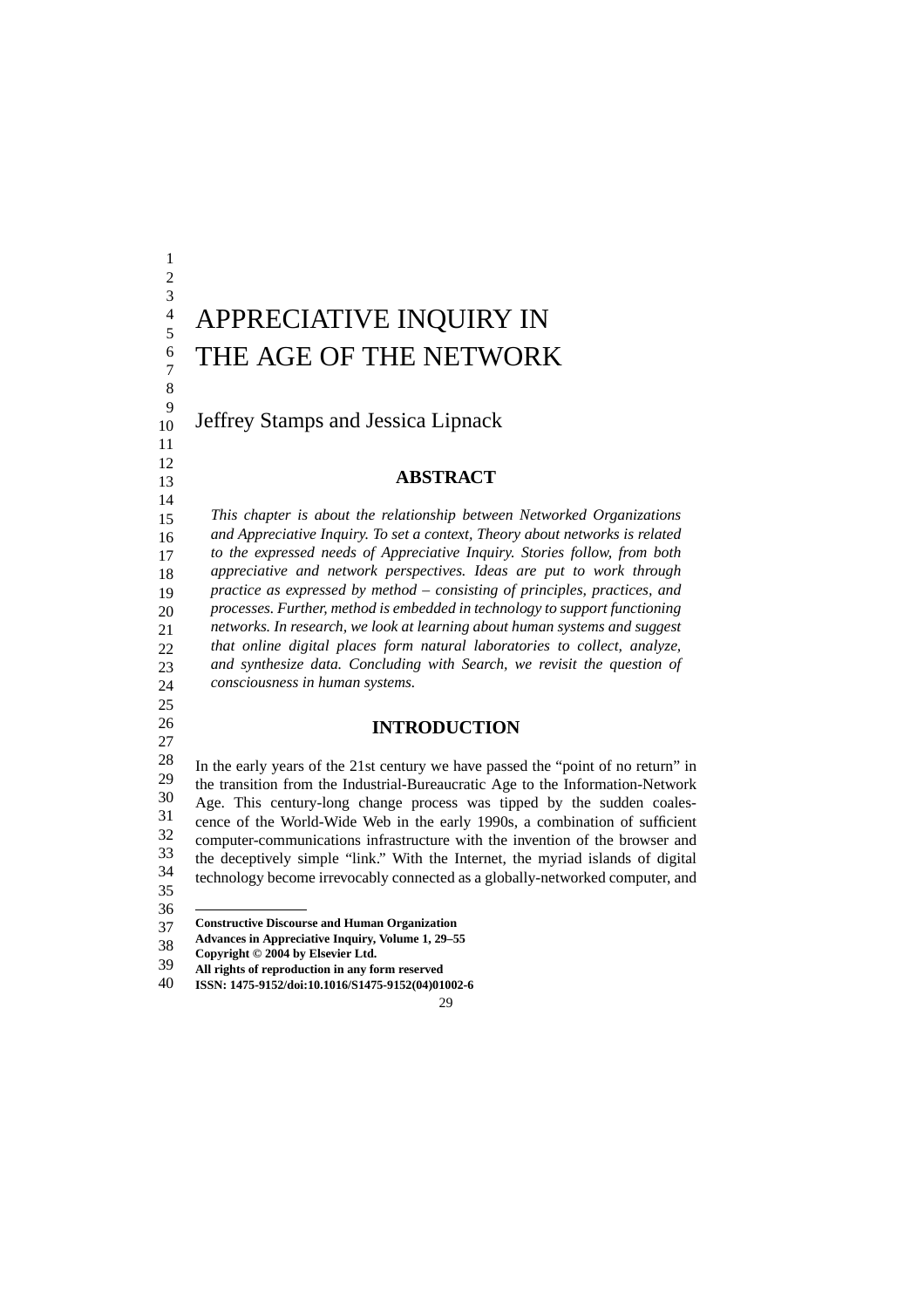# APPRECIATIVE INQUIRY IN THE AGE OF THE NETWORK

## Jeffrey Stamps and Jessica Lipnack

#### **ABSTRACT**

 *This chapter is about the relationship between Networked Organizations and Appreciative Inquiry. To set a context, Theory about networks is related to the expressed needs of Appreciative Inquiry. Stories follow, from both appreciative and network perspectives. Ideas are put to work through practice as expressed by method – consisting of principles, practices, and processes. Further, method is embedded in technology to support functioning networks. In research, we look at learning about human systems and suggest that online digital places form natural laboratories to collect, analyze, and synthesize data. Concluding with Search, we revisit the question of consciousness in human systems.*

#### **INTRODUCTION**

 In the early years of the 21st century we have passed the "point of no return" in the transition from the Industrial-Bureaucratic Age to the Information-Network Age. This century-long change process was tipped by the sudden coalescence of the World-Wide Web in the early 1990s, a combination of sufficient computer-communications infrastructure with the invention of the browser and the deceptively simple "link." With the Internet, the myriad islands of digital technology become irrevocably connected as a globally-networked computer, and

 

 **Constructive Discourse and Human Organization**

 **Advances in Appreciative Inquiry, Volume 1, 29–55**

**Copyright © 2004 by Elsevier Ltd.**

 **All rights of reproduction in any form reserved**

 **ISSN: 1475-9152/doi:10.1016/S1475-9152(04)01002-6**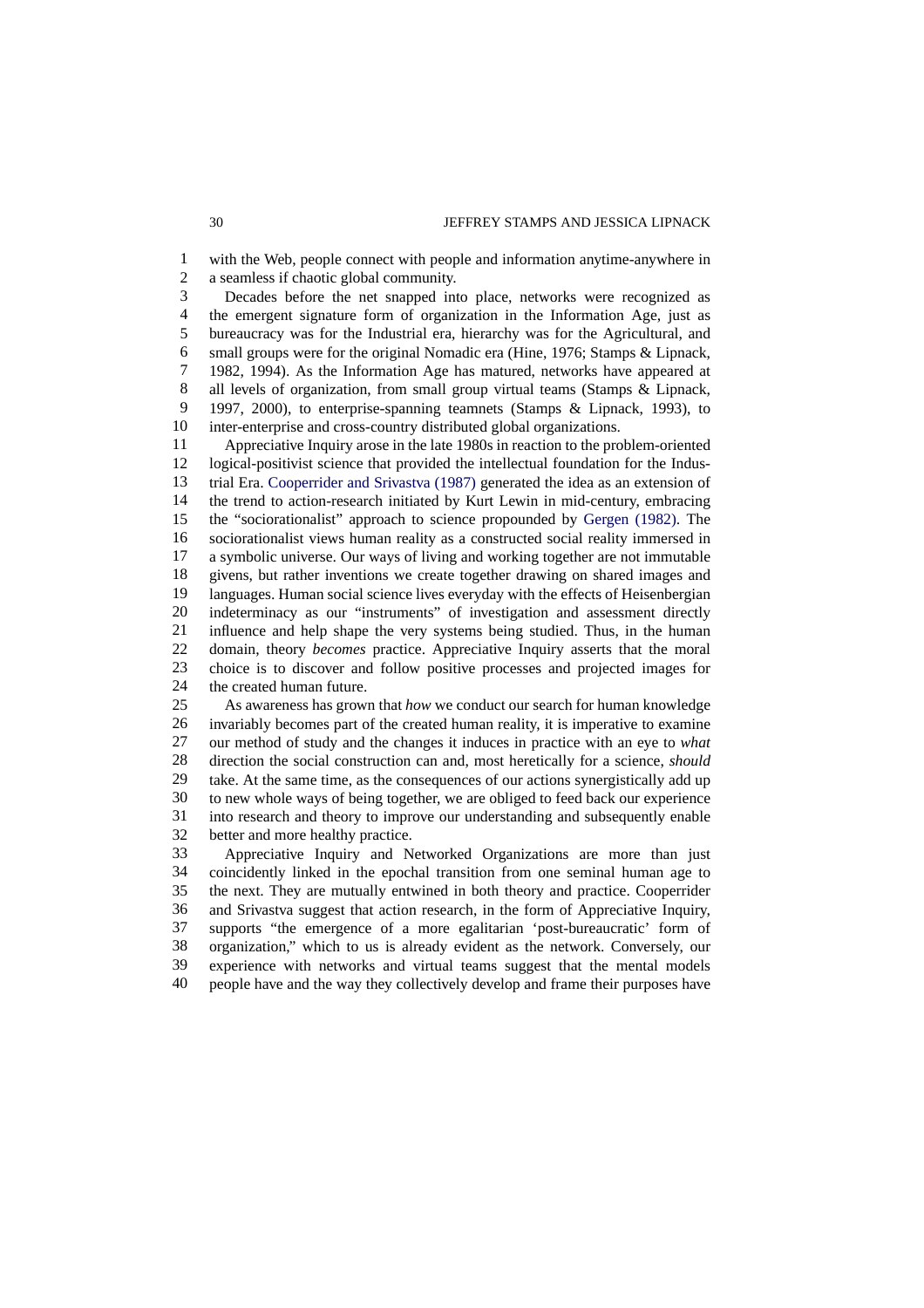1 2 with the Web, people connect with people and information anytime-anywhere in a seamless if chaotic global community.

3 4 5 6 7 8 9 10 Decades before the net snapped into place, networks were recognized as the emergent signature form of organization in the Information Age, just as bureaucracy was for the Industrial era, hierarchy was for the Agricultural, and small groups were for the original Nomadic era (Hine, 1976; Stamps & Lipnack, 1982, 1994). As the Information Age has matured, networks have appeared at all levels of organization, from small group virtual teams (Stamps & Lipnack, 1997, 2000), to enterprise-spanning teamnets (Stamps & Lipnack, 1993), to inter-enterprise and cross-country distributed global organizations.

11 12 13 14 15 16 17 18 19 20 21 22 23 24 Appreciative Inquiry arose in the late 1980s in reaction to the problem-oriented logical-positivist science that provided the intellectual foundation for the Industrial Era. [Cooperrider and Srivastva \(1987\)](#page-26-0) generated the idea as an extension of the trend to action-research initiated by Kurt Lewin in mid-century, embracing the "sociorationalist" approach to science propounded by [Gergen \(1982\).](#page-26-0) The sociorationalist views human reality as a constructed social reality immersed in a symbolic universe. Our ways of living and working together are not immutable givens, but rather inventions we create together drawing on shared images and languages. Human social science lives everyday with the effects of Heisenbergian indeterminacy as our "instruments" of investigation and assessment directly influence and help shape the very systems being studied. Thus, in the human domain, theory *becomes* practice. Appreciative Inquiry asserts that the moral choice is to discover and follow positive processes and projected images for the created human future.

25 26 27 28 29 30 31 32 As awareness has grown that *how* we conduct our search for human knowledge invariably becomes part of the created human reality, it is imperative to examine our method of study and the changes it induces in practice with an eye to *what* direction the social construction can and, most heretically for a science, *should* take. At the same time, as the consequences of our actions synergistically add up to new whole ways of being together, we are obliged to feed back our experience into research and theory to improve our understanding and subsequently enable better and more healthy practice.

33 34 35 36 37 38 39 40 Appreciative Inquiry and Networked Organizations are more than just coincidently linked in the epochal transition from one seminal human age to the next. They are mutually entwined in both theory and practice. Cooperrider and Srivastva suggest that action research, in the form of Appreciative Inquiry, supports "the emergence of a more egalitarian 'post-bureaucratic' form of organization," which to us is already evident as the network. Conversely, our experience with networks and virtual teams suggest that the mental models people have and the way they collectively develop and frame their purposes have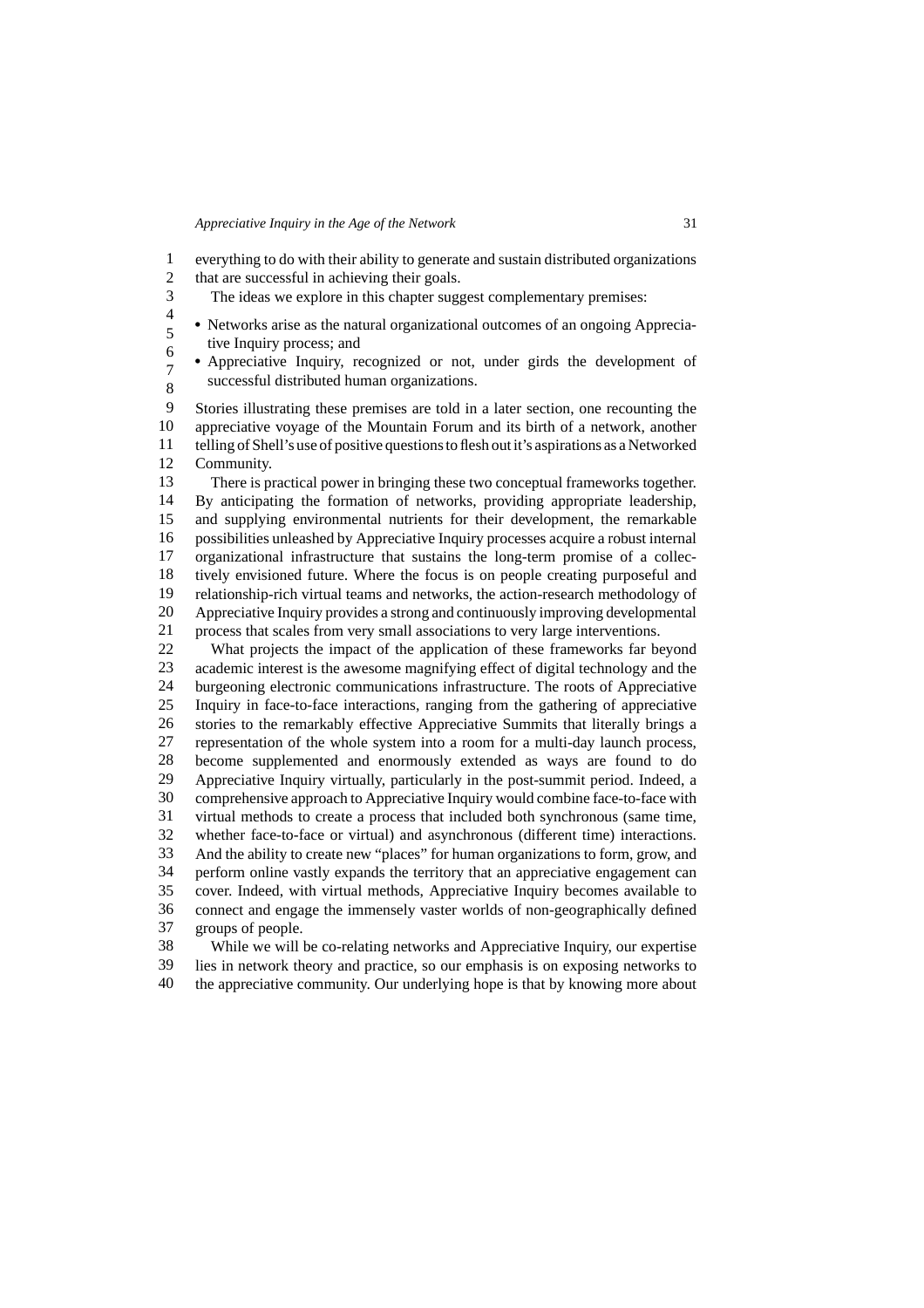- 1 2 everything to do with their ability to generate and sustain distributed organizations that are successful in achieving their goals.
- 3 4

- The ideas we explore in this chapter suggest complementary premises:
- Networks arise as the natural organizational outcomes of an ongoing Appreciative Inquiry process; and
- Appreciative Inquiry, recognized or not, under girds the development of successful distributed human organizations.

9 10 11 12 Stories illustrating these premises are told in a later section, one recounting the appreciative voyage of the Mountain Forum and its birth of a network, another telling of Shell's use of positive questions to flesh out it's aspirations as a Networked Community.

13 14 15 16 17 18 19 20 21 There is practical power in bringing these two conceptual frameworks together. By anticipating the formation of networks, providing appropriate leadership, and supplying environmental nutrients for their development, the remarkable possibilities unleashed by Appreciative Inquiry processes acquire a robust internal organizational infrastructure that sustains the long-term promise of a collectively envisioned future. Where the focus is on people creating purposeful and relationship-rich virtual teams and networks, the action-research methodology of Appreciative Inquiry provides a strong and continuously improving developmental process that scales from very small associations to very large interventions.

22 23 24 25 26 27 28 29 30 31 32 33 34 35 36 37 What projects the impact of the application of these frameworks far beyond academic interest is the awesome magnifying effect of digital technology and the burgeoning electronic communications infrastructure. The roots of Appreciative Inquiry in face-to-face interactions, ranging from the gathering of appreciative stories to the remarkably effective Appreciative Summits that literally brings a representation of the whole system into a room for a multi-day launch process, become supplemented and enormously extended as ways are found to do Appreciative Inquiry virtually, particularly in the post-summit period. Indeed, a comprehensive approach to Appreciative Inquiry would combine face-to-face with virtual methods to create a process that included both synchronous (same time, whether face-to-face or virtual) and asynchronous (different time) interactions. And the ability to create new "places" for human organizations to form, grow, and perform online vastly expands the territory that an appreciative engagement can cover. Indeed, with virtual methods, Appreciative Inquiry becomes available to connect and engage the immensely vaster worlds of non-geographically defined groups of people.

38 39 40 While we will be co-relating networks and Appreciative Inquiry, our expertise lies in network theory and practice, so our emphasis is on exposing networks to the appreciative community. Our underlying hope is that by knowing more about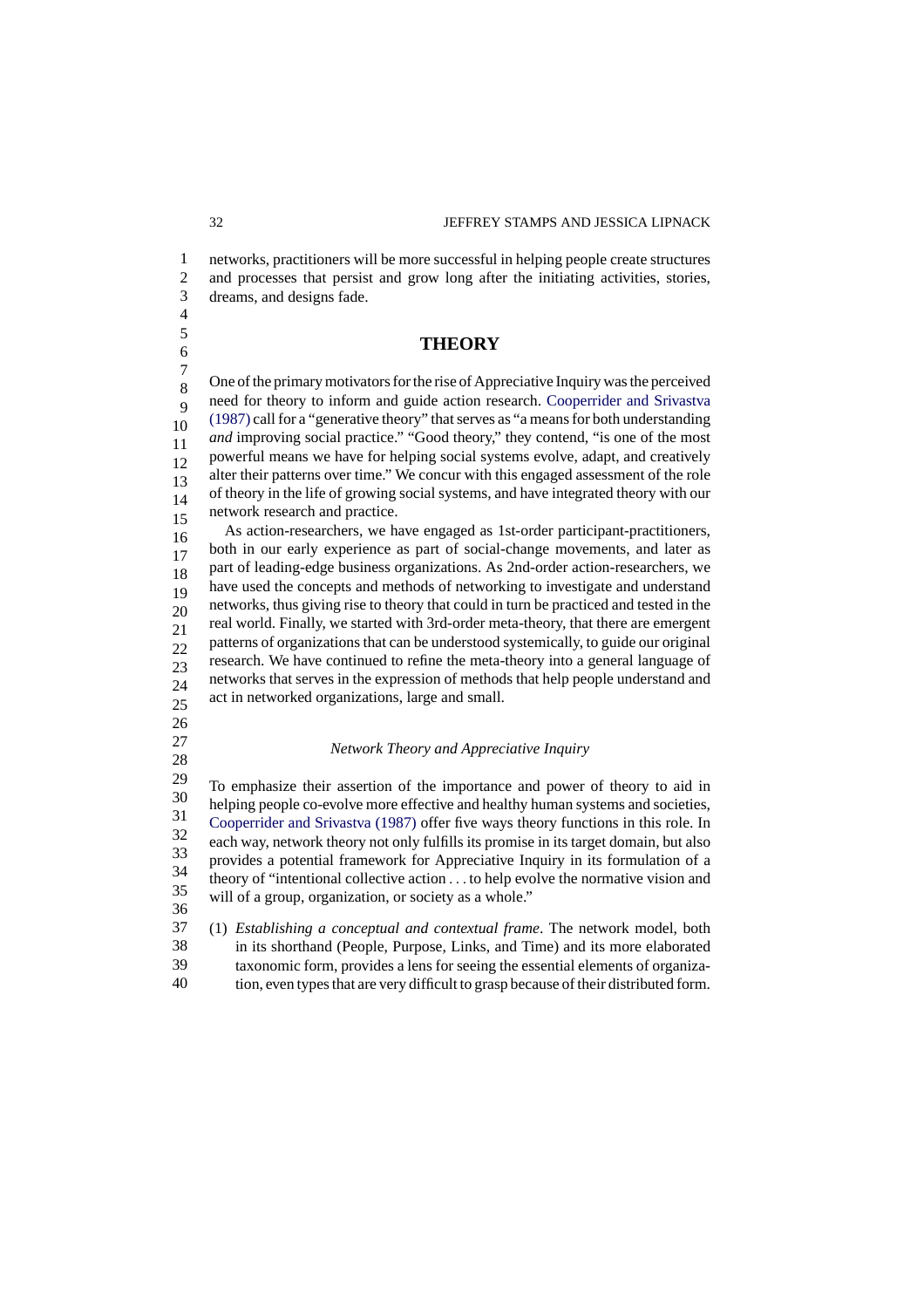1 2 3 networks, practitioners will be more successful in helping people create structures and processes that persist and grow long after the initiating activities, stories, dreams, and designs fade.

#### **THEORY**

7 8 9 10 11 12 13 14 15 One of the primary motivators for the rise of Appreciative Inquiry was the perceived need for theory to inform and guide action research. [Cooperrider and Srivastva](#page-26-0) [\(1987\)](#page-26-0) call for a "generative theory" that serves as "a means for both understanding *and* improving social practice." "Good theory," they contend, "is one of the most powerful means we have for helping social systems evolve, adapt, and creatively alter their patterns over time." We concur with this engaged assessment of the role of theory in the life of growing social systems, and have integrated theory with our network research and practice.

16 17 18 19 20 21 22 23 24 25 As action-researchers, we have engaged as 1st-order participant-practitioners, both in our early experience as part of social-change movements, and later as part of leading-edge business organizations. As 2nd-order action-researchers, we have used the concepts and methods of networking to investigate and understand networks, thus giving rise to theory that could in turn be practiced and tested in the real world. Finally, we started with 3rd-order meta-theory, that there are emergent patterns of organizations that can be understood systemically, to guide our original research. We have continued to refine the meta-theory into a general language of networks that serves in the expression of methods that help people understand and act in networked organizations, large and small.

- 26
- 27 28

#### *Network Theory and Appreciative Inquiry*

29 30 31 32 33 34 35 To emphasize their assertion of the importance and power of theory to aid in helping people co-evolve more effective and healthy human systems and societies, [Cooperrider and Srivastva \(1987\)](#page-26-0) offer five ways theory functions in this role. In each way, network theory not only fulfills its promise in its target domain, but also provides a potential framework for Appreciative Inquiry in its formulation of a theory of "intentional collective action ... to help evolve the normative vision and will of a group, organization, or society as a whole."

36

37 38 39 40 (1) *Establishing a conceptual and contextual frame*. The network model, both in its shorthand (People, Purpose, Links, and Time) and its more elaborated taxonomic form, provides a lens for seeing the essential elements of organization, even types that are very difficult to grasp because of their distributed form.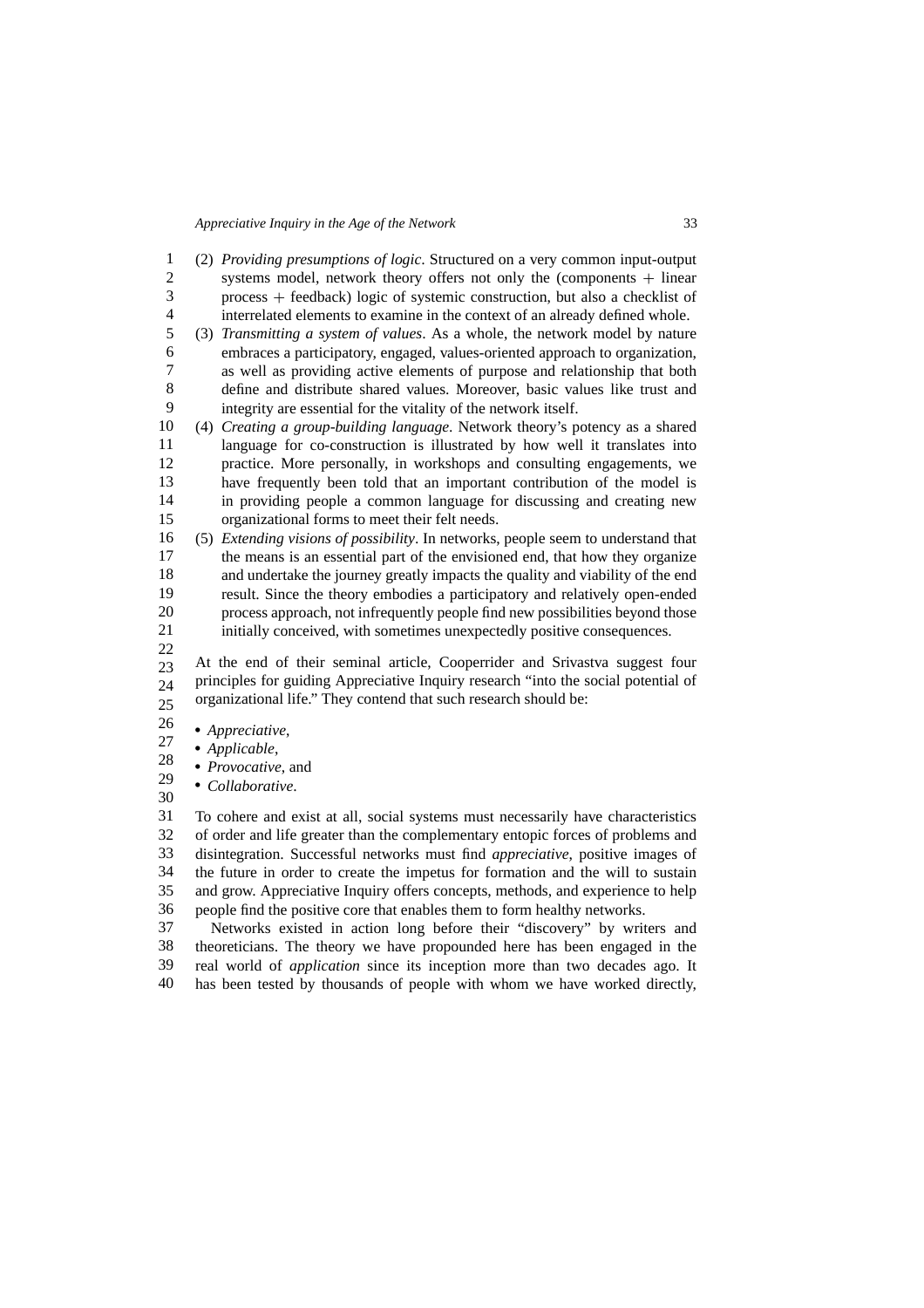- 1 2 3 4 (2) *Providing presumptions of logic*. Structured on a very common input-output systems model, network theory offers not only the (components  $+$  linear process + feedback) logic of systemic construction, but also a checklist of interrelated elements to examine in the context of an already defined whole.
- 5 6 7 8 9 (3) *Transmitting a system of values*. As a whole, the network model by nature embraces a participatory, engaged, values-oriented approach to organization, as well as providing active elements of purpose and relationship that both define and distribute shared values. Moreover, basic values like trust and integrity are essential for the vitality of the network itself.
- 10 11 12 13 14 15 (4) *Creating a group-building language*. Network theory's potency as a shared language for co-construction is illustrated by how well it translates into practice. More personally, in workshops and consulting engagements, we have frequently been told that an important contribution of the model is in providing people a common language for discussing and creating new organizational forms to meet their felt needs.
- 16 17 18 19 20 21 (5) *Extending visions of possibility*. In networks, people seem to understand that the means is an essential part of the envisioned end, that how they organize and undertake the journey greatly impacts the quality and viability of the end result. Since the theory embodies a participatory and relatively open-ended process approach, not infrequently people find new possibilities beyond those initially conceived, with sometimes unexpectedly positive consequences.
- 22 23 24 25 At the end of their seminal article, Cooperrider and Srivastva suggest four principles for guiding Appreciative Inquiry research "into the social potential of organizational life." They contend that such research should be:
- 26 *Appreciative*,
- 27 *Applicable*,
- 28 *Provocative*, and
- 29 *Collaborative*.
- 30

31 32 33 34 35 36 To cohere and exist at all, social systems must necessarily have characteristics of order and life greater than the complementary entopic forces of problems and disintegration. Successful networks must find *appreciative*, positive images of the future in order to create the impetus for formation and the will to sustain and grow. Appreciative Inquiry offers concepts, methods, and experience to help people find the positive core that enables them to form healthy networks.

37 38 39 40 Networks existed in action long before their "discovery" by writers and theoreticians. The theory we have propounded here has been engaged in the real world of *application* since its inception more than two decades ago. It has been tested by thousands of people with whom we have worked directly,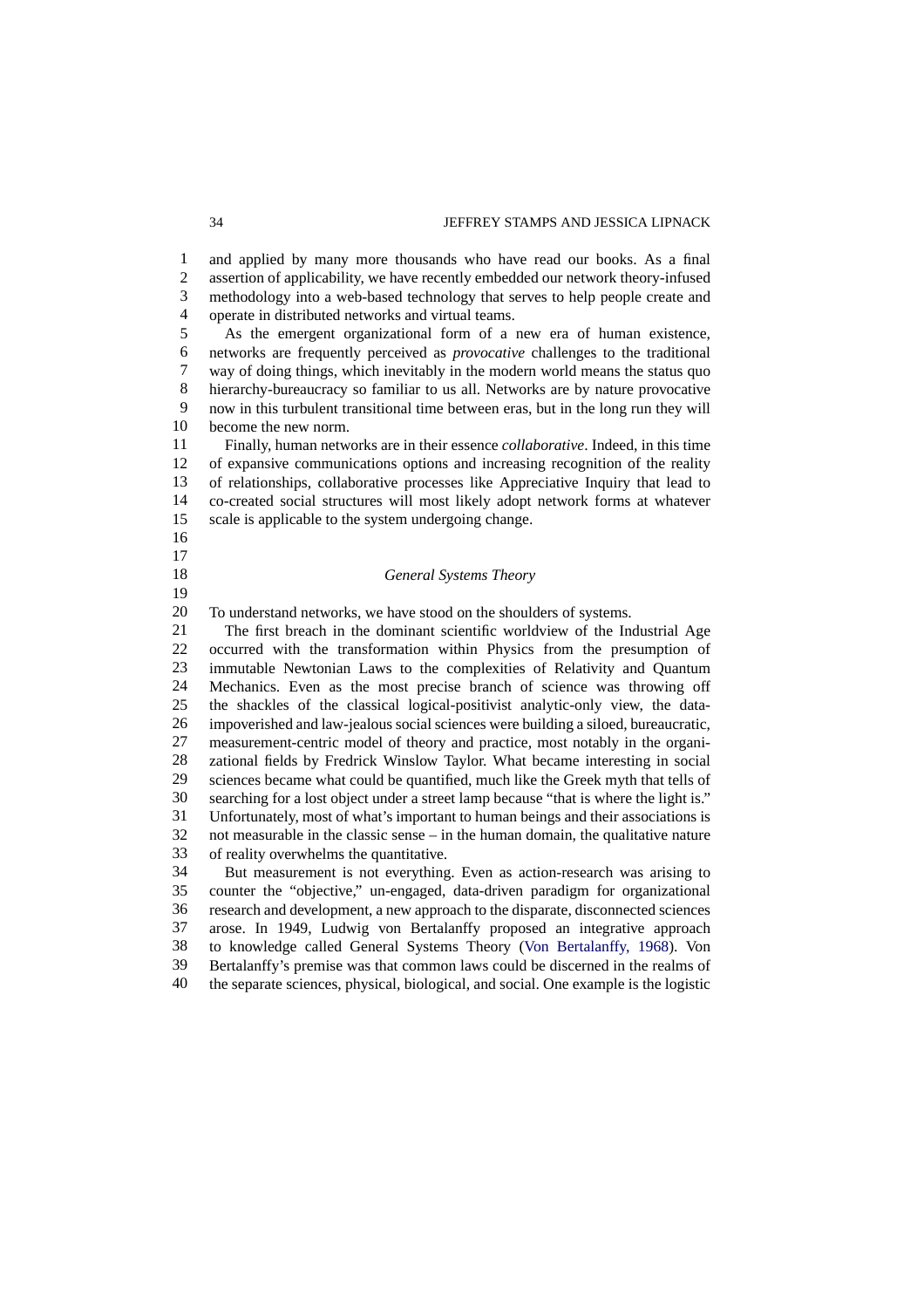1 2 3 4 and applied by many more thousands who have read our books. As a final assertion of applicability, we have recently embedded our network theory-infused methodology into a web-based technology that serves to help people create and operate in distributed networks and virtual teams.

5 6 7 8 9 10 As the emergent organizational form of a new era of human existence, networks are frequently perceived as *provocative* challenges to the traditional way of doing things, which inevitably in the modern world means the status quo hierarchy-bureaucracy so familiar to us all. Networks are by nature provocative now in this turbulent transitional time between eras, but in the long run they will become the new norm.

11 12 13 14 15 16 Finally, human networks are in their essence *collaborative*. Indeed, in this time of expansive communications options and increasing recognition of the reality of relationships, collaborative processes like Appreciative Inquiry that lead to co-created social structures will most likely adopt network forms at whatever scale is applicable to the system undergoing change.

#### *General Systems Theory*

20 To understand networks, we have stood on the shoulders of systems.

21 22 23 24 25 26 27 28 29 30 31 32 The first breach in the dominant scientific worldview of the Industrial Age occurred with the transformation within Physics from the presumption of immutable Newtonian Laws to the complexities of Relativity and Quantum Mechanics. Even as the most precise branch of science was throwing off the shackles of the classical logical-positivist analytic-only view, the dataimpoverished and law-jealous social sciences were building a siloed, bureaucratic, measurement-centric model of theory and practice, most notably in the organizational fields by Fredrick Winslow Taylor. What became interesting in social sciences became what could be quantified, much like the Greek myth that tells of searching for a lost object under a street lamp because "that is where the light is." Unfortunately, most of what's important to human beings and their associations is not measurable in the classic sense – in the human domain, the qualitative nature

33 of reality overwhelms the quantitative.

34 35 36 37 38 39 40 But measurement is not everything. Even as action-research was arising to counter the "objective," un-engaged, data-driven paradigm for organizational research and development, a new approach to the disparate, disconnected sciences arose. In 1949, Ludwig von Bertalanffy proposed an integrative approach to knowledge called General Systems Theory ([Von Bertalanffy, 1968](#page-26-0)). Von Bertalanffy's premise was that common laws could be discerned in the realms of the separate sciences, physical, biological, and social. One example is the logistic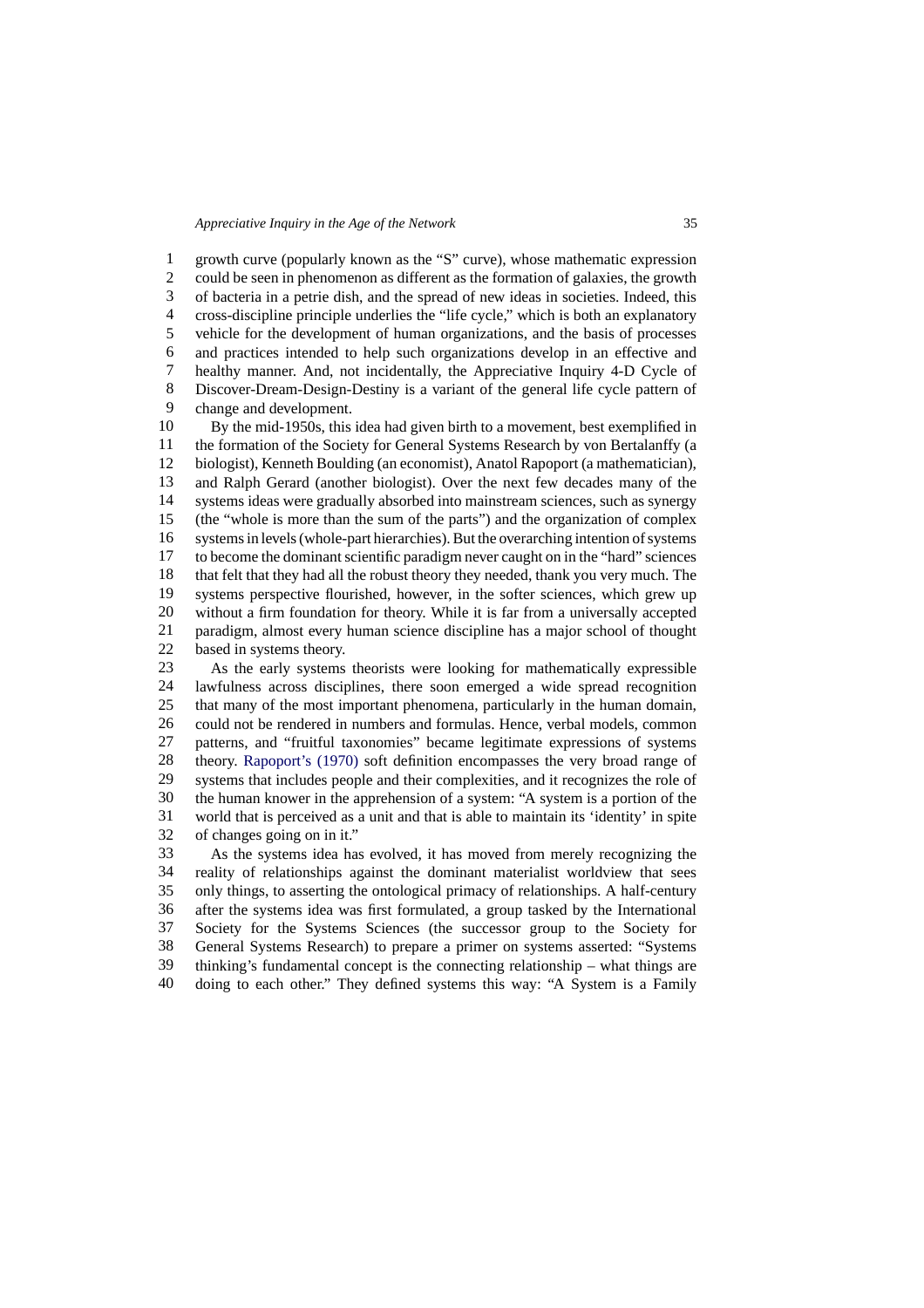1 2 3 4 5 6 7 8 9 growth curve (popularly known as the "S" curve), whose mathematic expression could be seen in phenomenon as different as the formation of galaxies, the growth of bacteria in a petrie dish, and the spread of new ideas in societies. Indeed, this cross-discipline principle underlies the "life cycle," which is both an explanatory vehicle for the development of human organizations, and the basis of processes and practices intended to help such organizations develop in an effective and healthy manner. And, not incidentally, the Appreciative Inquiry 4-D Cycle of Discover-Dream-Design-Destiny is a variant of the general life cycle pattern of change and development.

10 11 12 13 14 15 16 17 18 19 20 21 22 By the mid-1950s, this idea had given birth to a movement, best exemplified in the formation of the Society for General Systems Research by von Bertalanffy (a biologist), Kenneth Boulding (an economist), Anatol Rapoport (a mathematician), and Ralph Gerard (another biologist). Over the next few decades many of the systems ideas were gradually absorbed into mainstream sciences, such as synergy (the "whole is more than the sum of the parts") and the organization of complex systems in levels (whole-part hierarchies). But the overarching intention of systems to become the dominant scientific paradigm never caught on in the "hard" sciences that felt that they had all the robust theory they needed, thank you very much. The systems perspective flourished, however, in the softer sciences, which grew up without a firm foundation for theory. While it is far from a universally accepted paradigm, almost every human science discipline has a major school of thought based in systems theory.

23 24 25 26 27 28 29 30 31 32 As the early systems theorists were looking for mathematically expressible lawfulness across disciplines, there soon emerged a wide spread recognition that many of the most important phenomena, particularly in the human domain, could not be rendered in numbers and formulas. Hence, verbal models, common patterns, and "fruitful taxonomies" became legitimate expressions of systems theory. [Rapoport's \(1970\)](#page-26-0) soft definition encompasses the very broad range of systems that includes people and their complexities, and it recognizes the role of the human knower in the apprehension of a system: "A system is a portion of the world that is perceived as a unit and that is able to maintain its 'identity' in spite of changes going on in it."

33 34 35 36 37 38 39 40 As the systems idea has evolved, it has moved from merely recognizing the reality of relationships against the dominant materialist worldview that sees only things, to asserting the ontological primacy of relationships. A half-century after the systems idea was first formulated, a group tasked by the International Society for the Systems Sciences (the successor group to the Society for General Systems Research) to prepare a primer on systems asserted: "Systems thinking's fundamental concept is the connecting relationship – what things are doing to each other." They defined systems this way: "A System is a Family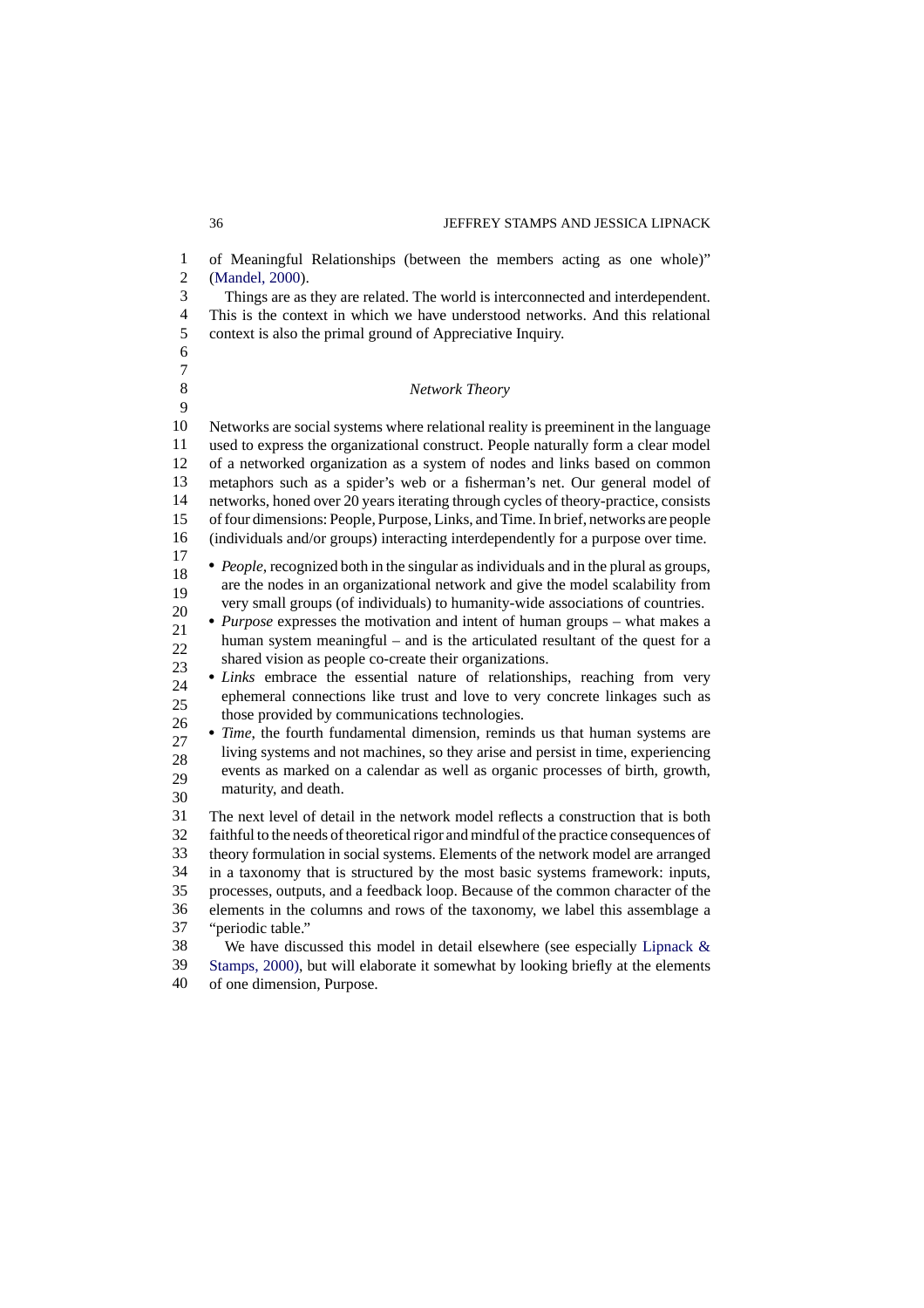1 2 of Meaningful Relationships (between the members acting as one whole)" [\(Mandel, 2000\).](#page-26-0)

3 4 5 Things are as they are related. The world is interconnected and interdependent. This is the context in which we have understood networks. And this relational context is also the primal ground of Appreciative Inquiry.

#### *Network Theory*

10 11 12 13 14 15 16 17 Networks are social systems where relational reality is preeminent in the language used to express the organizational construct. People naturally form a clear model of a networked organization as a system of nodes and links based on common metaphors such as a spider's web or a fisherman's net. Our general model of networks, honed over 20 years iterating through cycles of theory-practice, consists of four dimensions: People, Purpose, Links, and Time. In brief, networks are people (individuals and/or groups) interacting interdependently for a purpose over time.

#### 18 19 20 *People*, recognized both in the singular as individuals and in the plural as groups, are the nodes in an organizational network and give the model scalability from very small groups (of individuals) to humanity-wide associations of countries.

21 22 23 *Purpose* expresses the motivation and intent of human groups – what makes a human system meaningful – and is the articulated resultant of the quest for a shared vision as people co-create their organizations.

24 25 26 *Links* embrace the essential nature of relationships, reaching from very ephemeral connections like trust and love to very concrete linkages such as those provided by communications technologies.

27 28 29 30 *Time*, the fourth fundamental dimension, reminds us that human systems are living systems and not machines, so they arise and persist in time, experiencing events as marked on a calendar as well as organic processes of birth, growth, maturity, and death.

31 32 33 34 35 36 37 The next level of detail in the network model reflects a construction that is both faithful to the needs of theoretical rigor and mindful of the practice consequences of theory formulation in social systems. Elements of the network model are arranged in a taxonomy that is structured by the most basic systems framework: inputs, processes, outputs, and a feedback loop. Because of the common character of the elements in the columns and rows of the taxonomy, we label this assemblage a "periodic table."

38 39 40 We have discussed this model in detail elsewhere (see especially Lipnack  $\&$ [Stamps, 2000\),](#page-26-0) but will elaborate it somewhat by looking briefly at the elements of one dimension, Purpose.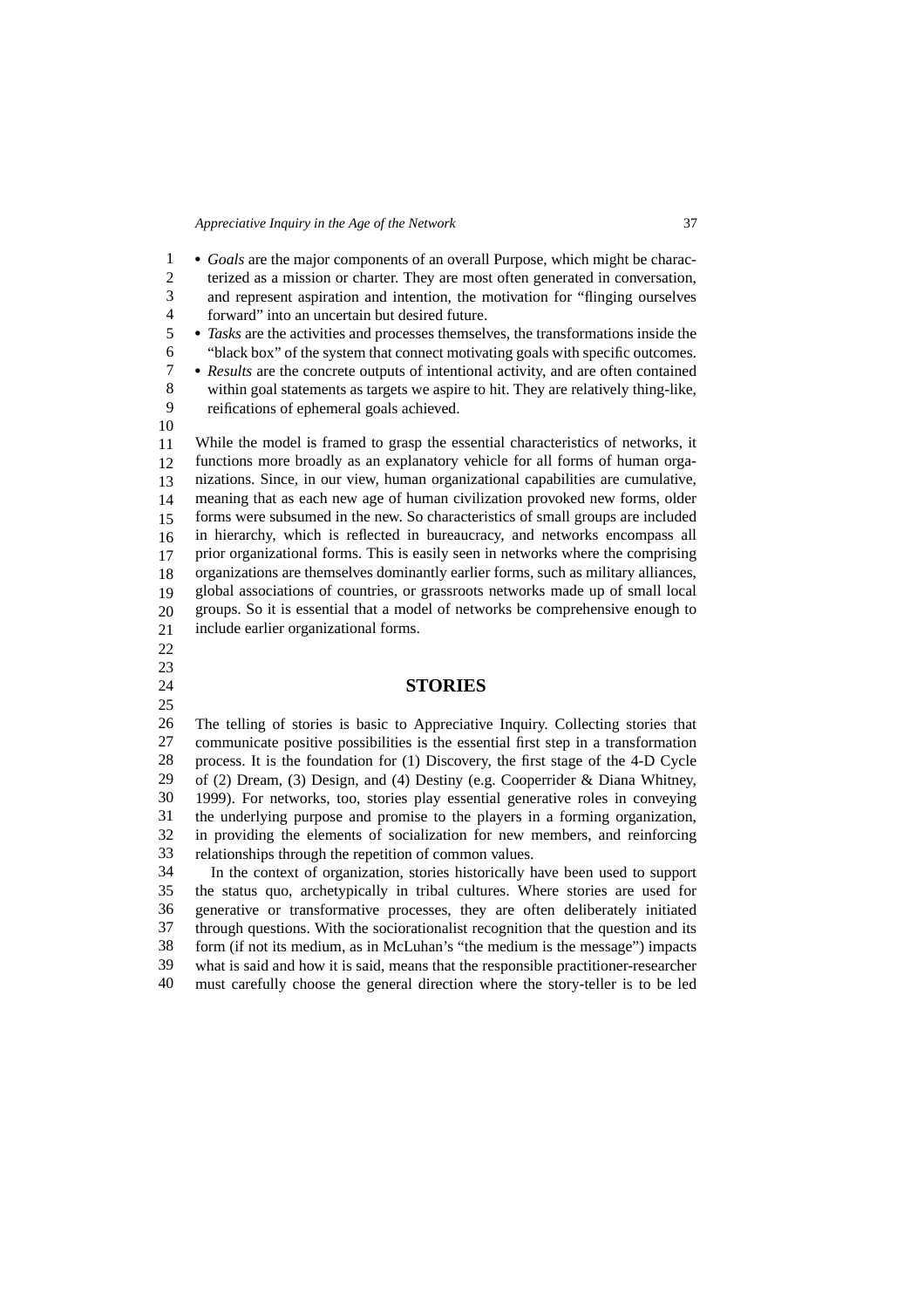- 
- 1 *Goals* are the major components of an overall Purpose, which might be charac-
- 2 3 terized as a mission or charter. They are most often generated in conversation, and represent aspiration and intention, the motivation for "flinging ourselves
- 4 forward" into an uncertain but desired future.
- 5 6 *Tasks* are the activities and processes themselves, the transformations inside the "black box" of the system that connect motivating goals with specific outcomes.
- 7 8 9 *Results* are the concrete outputs of intentional activity, and are often contained within goal statements as targets we aspire to hit. They are relatively thing-like, reifications of ephemeral goals achieved.
- 10

11 12 13 14 15 16 17 18 19 20 21 While the model is framed to grasp the essential characteristics of networks, it functions more broadly as an explanatory vehicle for all forms of human organizations. Since, in our view, human organizational capabilities are cumulative, meaning that as each new age of human civilization provoked new forms, older forms were subsumed in the new. So characteristics of small groups are included in hierarchy, which is reflected in bureaucracy, and networks encompass all prior organizational forms. This is easily seen in networks where the comprising organizations are themselves dominantly earlier forms, such as military alliances, global associations of countries, or grassroots networks made up of small local groups. So it is essential that a model of networks be comprehensive enough to include earlier organizational forms.

**STORIES**

26 27 28 29 30 31 32 33 The telling of stories is basic to Appreciative Inquiry. Collecting stories that communicate positive possibilities is the essential first step in a transformation process. It is the foundation for (1) Discovery, the first stage of the 4-D Cycle of (2) Dream, (3) Design, and (4) Destiny (e.g. Cooperrider & Diana Whitney, 1999). For networks, too, stories play essential generative roles in conveying the underlying purpose and promise to the players in a forming organization, in providing the elements of socialization for new members, and reinforcing relationships through the repetition of common values.

34 35 36 37 38 39 40 In the context of organization, stories historically have been used to support the status quo, archetypically in tribal cultures. Where stories are used for generative or transformative processes, they are often deliberately initiated through questions. With the sociorationalist recognition that the question and its form (if not its medium, as in McLuhan's "the medium is the message") impacts what is said and how it is said, means that the responsible practitioner-researcher must carefully choose the general direction where the story-teller is to be led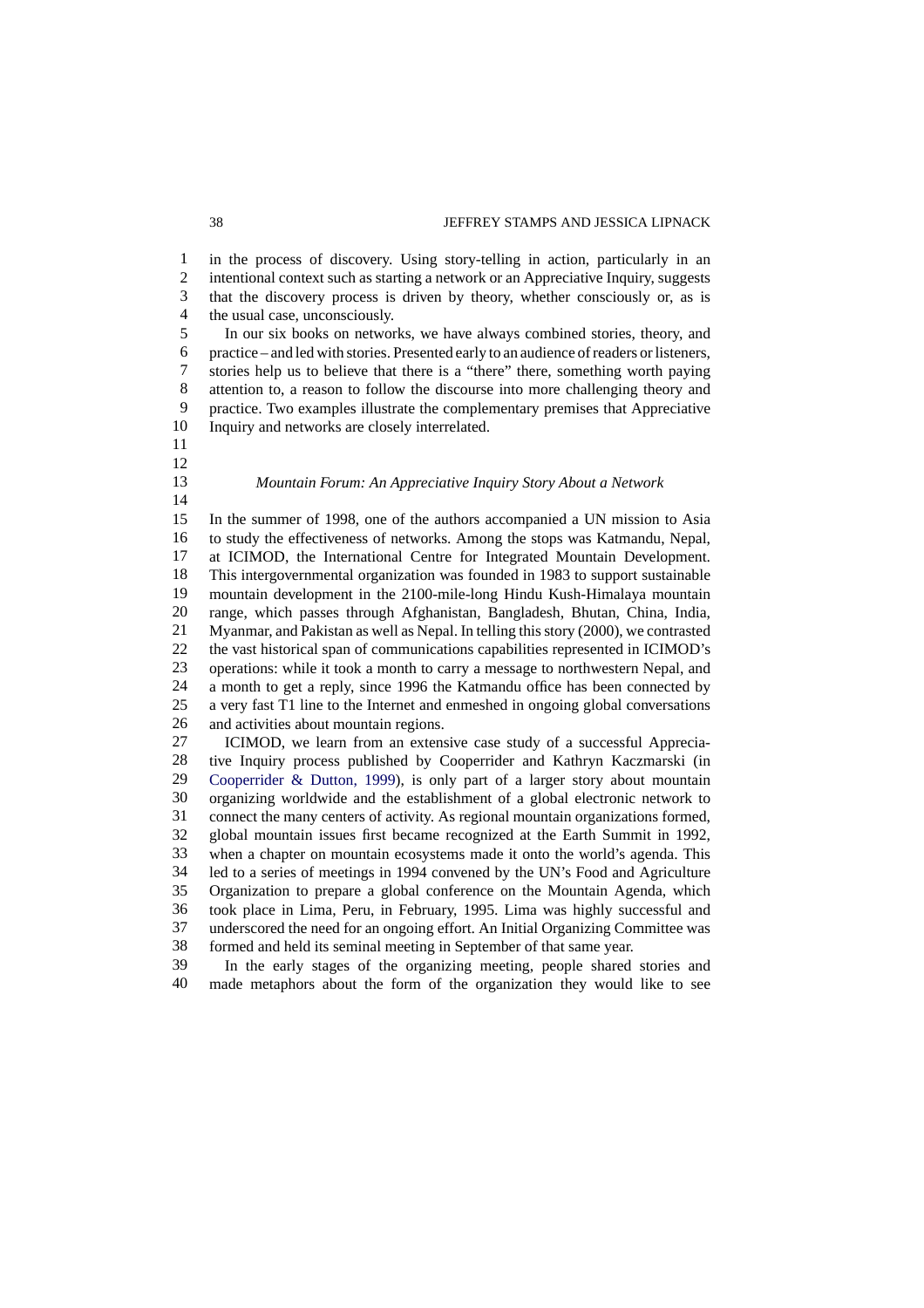1 2 3 4 in the process of discovery. Using story-telling in action, particularly in an intentional context such as starting a network or an Appreciative Inquiry, suggests that the discovery process is driven by theory, whether consciously or, as is the usual case, unconsciously.

5 6 7 8 9 10 In our six books on networks, we have always combined stories, theory, and practice – and led with stories. Presented early to an audience of readers or listeners, stories help us to believe that there is a "there" there, something worth paying attention to, a reason to follow the discourse into more challenging theory and practice. Two examples illustrate the complementary premises that Appreciative Inquiry and networks are closely interrelated.

11

- 12
- 13 14

#### *Mountain Forum: An Appreciative Inquiry Story About a Network*

15 16 17 18 19 20 21 22 23 24 25 26 In the summer of 1998, one of the authors accompanied a UN mission to Asia to study the effectiveness of networks. Among the stops was Katmandu, Nepal, at ICIMOD, the International Centre for Integrated Mountain Development. This intergovernmental organization was founded in 1983 to support sustainable mountain development in the 2100-mile-long Hindu Kush-Himalaya mountain range, which passes through Afghanistan, Bangladesh, Bhutan, China, India, Myanmar, and Pakistan as well as Nepal. In telling this story (2000), we contrasted the vast historical span of communications capabilities represented in ICIMOD's operations: while it took a month to carry a message to northwestern Nepal, and a month to get a reply, since 1996 the Katmandu office has been connected by a very fast T1 line to the Internet and enmeshed in ongoing global conversations and activities about mountain regions.

27 28 29 30 31 32 33 34 35 36 37 38 ICIMOD, we learn from an extensive case study of a successful Appreciative Inquiry process published by Cooperrider and Kathryn Kaczmarski (in [Cooperrider & Dutton, 1999](#page-25-0)), is only part of a larger story about mountain organizing worldwide and the establishment of a global electronic network to connect the many centers of activity. As regional mountain organizations formed, global mountain issues first became recognized at the Earth Summit in 1992, when a chapter on mountain ecosystems made it onto the world's agenda. This led to a series of meetings in 1994 convened by the UN's Food and Agriculture Organization to prepare a global conference on the Mountain Agenda, which took place in Lima, Peru, in February, 1995. Lima was highly successful and underscored the need for an ongoing effort. An Initial Organizing Committee was formed and held its seminal meeting in September of that same year.

39 40 In the early stages of the organizing meeting, people shared stories and made metaphors about the form of the organization they would like to see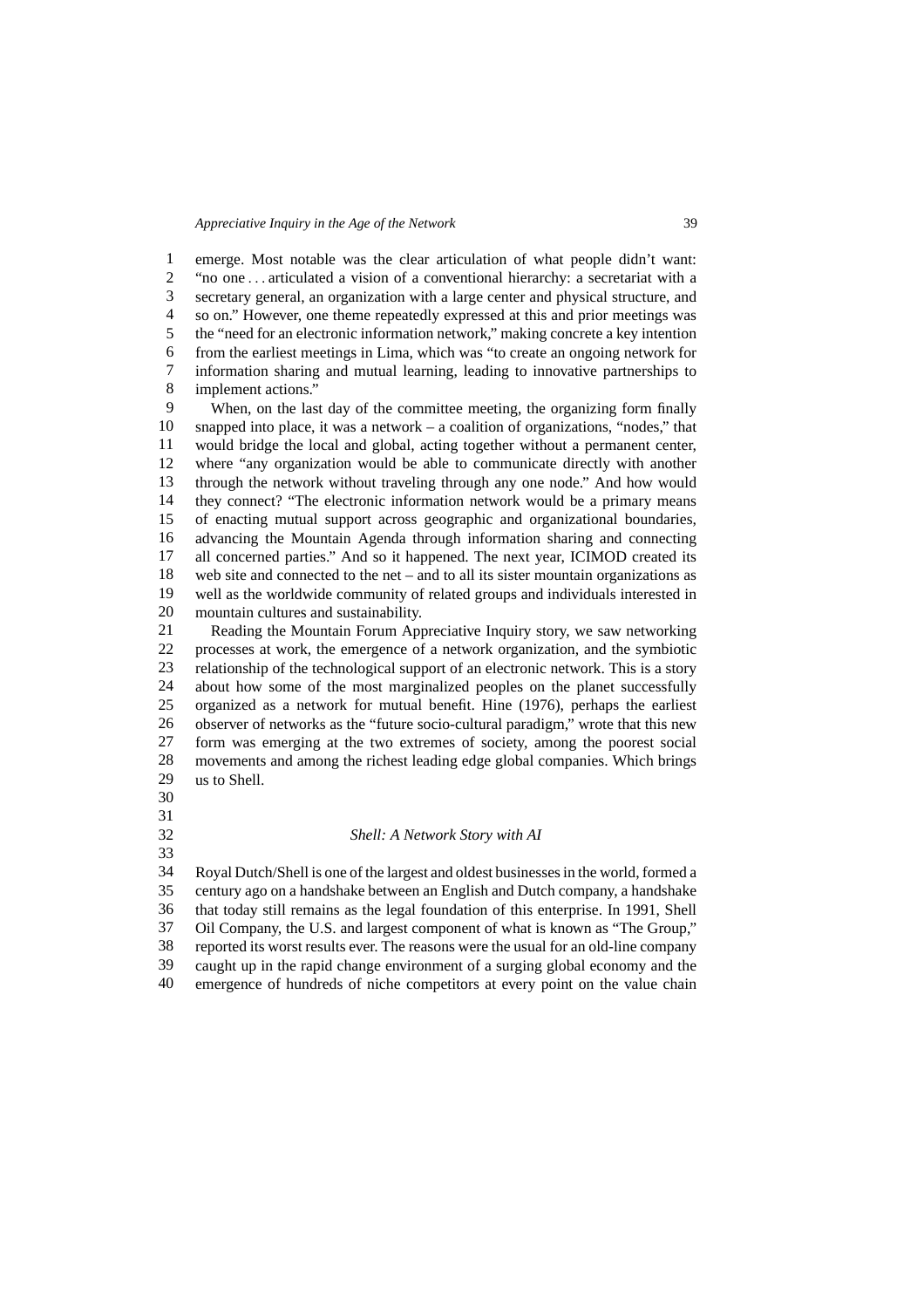1 2 3 4 5 6 7 8 emerge. Most notable was the clear articulation of what people didn't want: "no one ... articulated a vision of a conventional hierarchy: a secretariat with a secretary general, an organization with a large center and physical structure, and so on." However, one theme repeatedly expressed at this and prior meetings was the "need for an electronic information network," making concrete a key intention from the earliest meetings in Lima, which was "to create an ongoing network for information sharing and mutual learning, leading to innovative partnerships to implement actions."

9 10 11 12 13 14 15 16 17 18 19 20 When, on the last day of the committee meeting, the organizing form finally snapped into place, it was a network – a coalition of organizations, "nodes," that would bridge the local and global, acting together without a permanent center, where "any organization would be able to communicate directly with another through the network without traveling through any one node." And how would they connect? "The electronic information network would be a primary means of enacting mutual support across geographic and organizational boundaries, advancing the Mountain Agenda through information sharing and connecting all concerned parties." And so it happened. The next year, ICIMOD created its web site and connected to the net – and to all its sister mountain organizations as well as the worldwide community of related groups and individuals interested in mountain cultures and sustainability.

21 22 23 24 25 26 27 28 29 Reading the Mountain Forum Appreciative Inquiry story, we saw networking processes at work, the emergence of a network organization, and the symbiotic relationship of the technological support of an electronic network. This is a story about how some of the most marginalized peoples on the planet successfully organized as a network for mutual benefit. Hine (1976), perhaps the earliest observer of networks as the "future socio-cultural paradigm," wrote that this new form was emerging at the two extremes of society, among the poorest social movements and among the richest leading edge global companies. Which brings us to Shell.

30

# 31

#### 32

33

#### *Shell: A Network Story with AI*

34 35 36 37 38 39 40 Royal Dutch/Shell is one of the largest and oldest businesses in the world, formed a century ago on a handshake between an English and Dutch company, a handshake that today still remains as the legal foundation of this enterprise. In 1991, Shell Oil Company, the U.S. and largest component of what is known as "The Group," reported its worst results ever. The reasons were the usual for an old-line company caught up in the rapid change environment of a surging global economy and the emergence of hundreds of niche competitors at every point on the value chain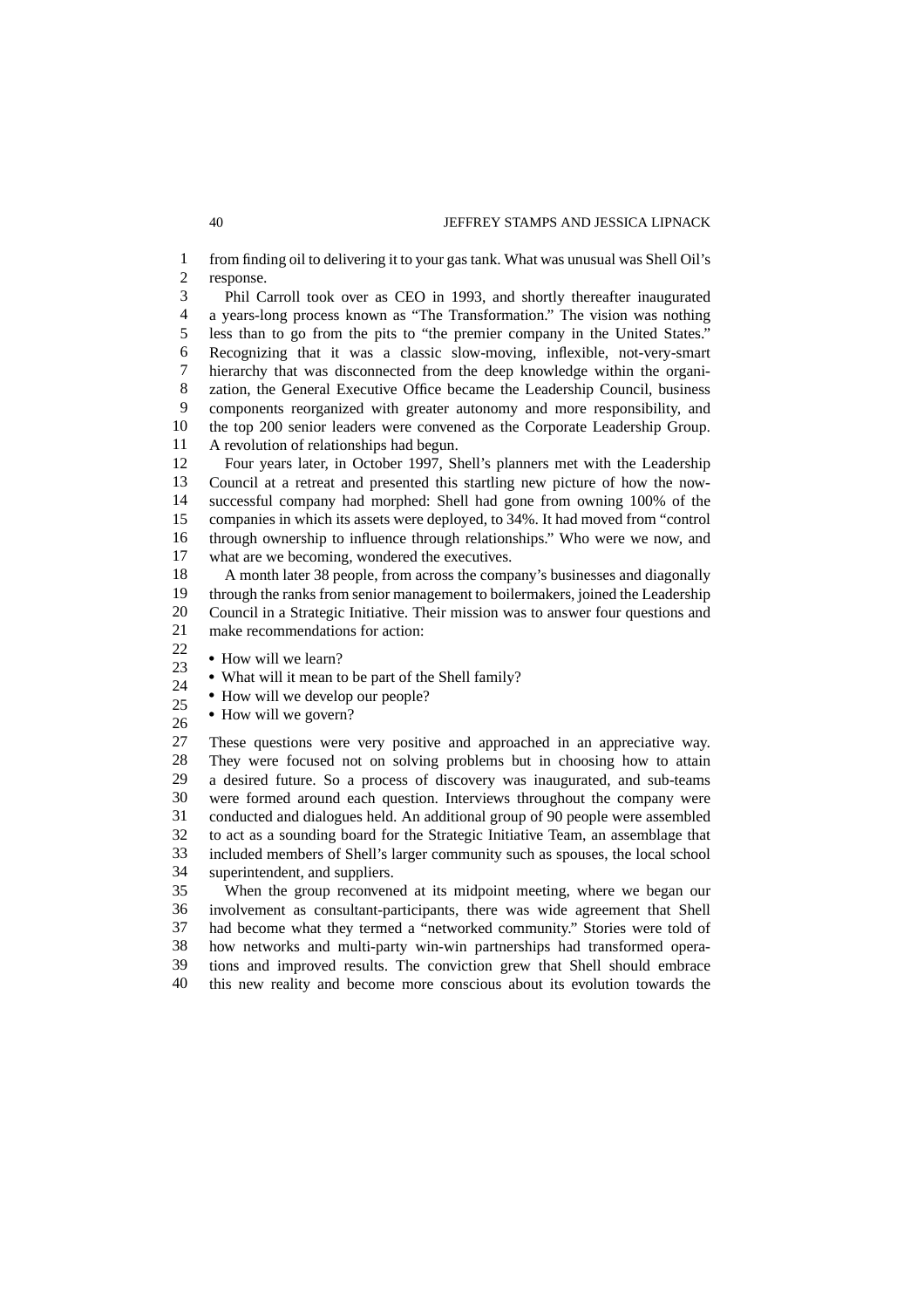1 2 from finding oil to delivering it to your gas tank. What was unusual was Shell Oil's response.

3 4 5 6 7 8 9 10 11 Phil Carroll took over as CEO in 1993, and shortly thereafter inaugurated a years-long process known as "The Transformation." The vision was nothing less than to go from the pits to "the premier company in the United States." Recognizing that it was a classic slow-moving, inflexible, not-very-smart hierarchy that was disconnected from the deep knowledge within the organization, the General Executive Office became the Leadership Council, business components reorganized with greater autonomy and more responsibility, and the top 200 senior leaders were convened as the Corporate Leadership Group. A revolution of relationships had begun.

12 13 14 15 16 17 Four years later, in October 1997, Shell's planners met with the Leadership Council at a retreat and presented this startling new picture of how the nowsuccessful company had morphed: Shell had gone from owning 100% of the companies in which its assets were deployed, to 34%. It had moved from "control through ownership to influence through relationships." Who were we now, and what are we becoming, wondered the executives.

18 19 20 21 A month later 38 people, from across the company's businesses and diagonally through the ranks from senior management to boilermakers, joined the Leadership Council in a Strategic Initiative. Their mission was to answer four questions and make recommendations for action:

22

23 • How will we learn?

24 • What will it mean to be part of the Shell family?

25 • How will we develop our people?

26 How will we govern?

27 28 29 30 31 32 33 34 These questions were very positive and approached in an appreciative way. They were focused not on solving problems but in choosing how to attain a desired future. So a process of discovery was inaugurated, and sub-teams were formed around each question. Interviews throughout the company were conducted and dialogues held. An additional group of 90 people were assembled to act as a sounding board for the Strategic Initiative Team, an assemblage that included members of Shell's larger community such as spouses, the local school superintendent, and suppliers.

35 36 37 38 39 40 When the group reconvened at its midpoint meeting, where we began our involvement as consultant-participants, there was wide agreement that Shell had become what they termed a "networked community." Stories were told of how networks and multi-party win-win partnerships had transformed operations and improved results. The conviction grew that Shell should embrace this new reality and become more conscious about its evolution towards the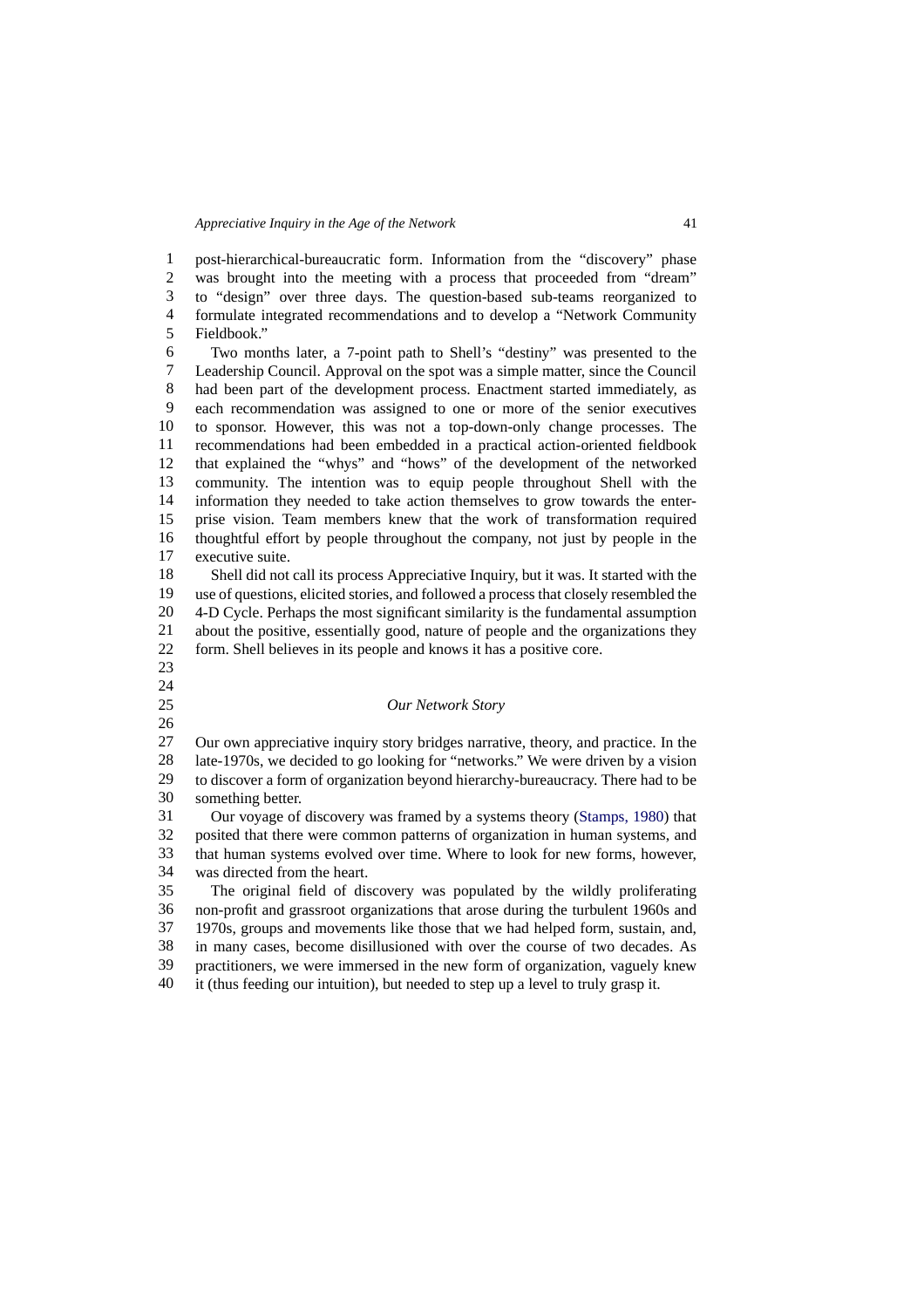1 2 3 4 5 post-hierarchical-bureaucratic form. Information from the "discovery" phase was brought into the meeting with a process that proceeded from "dream" to "design" over three days. The question-based sub-teams reorganized to formulate integrated recommendations and to develop a "Network Community Fieldbook."

6 7 8 9 10 11 12 13 14 15 16 17 Two months later, a 7-point path to Shell's "destiny" was presented to the Leadership Council. Approval on the spot was a simple matter, since the Council had been part of the development process. Enactment started immediately, as each recommendation was assigned to one or more of the senior executives to sponsor. However, this was not a top-down-only change processes. The recommendations had been embedded in a practical action-oriented fieldbook that explained the "whys" and "hows" of the development of the networked community. The intention was to equip people throughout Shell with the information they needed to take action themselves to grow towards the enterprise vision. Team members knew that the work of transformation required thoughtful effort by people throughout the company, not just by people in the executive suite.

18 19 20 21 22 Shell did not call its process Appreciative Inquiry, but it was. It started with the use of questions, elicited stories, and followed a process that closely resembled the 4-D Cycle. Perhaps the most significant similarity is the fundamental assumption about the positive, essentially good, nature of people and the organizations they form. Shell believes in its people and knows it has a positive core.

23 24 25

26

#### *Our Network Story*

27 28 29 30 Our own appreciative inquiry story bridges narrative, theory, and practice. In the late-1970s, we decided to go looking for "networks." We were driven by a vision to discover a form of organization beyond hierarchy-bureaucracy. There had to be something better.

31 32 33 34 Our voyage of discovery was framed by a systems theory ([Stamps, 1980\)](#page-26-0) that posited that there were common patterns of organization in human systems, and that human systems evolved over time. Where to look for new forms, however, was directed from the heart.

35 36 37 38 39 40 The original field of discovery was populated by the wildly proliferating non-profit and grassroot organizations that arose during the turbulent 1960s and 1970s, groups and movements like those that we had helped form, sustain, and, in many cases, become disillusioned with over the course of two decades. As practitioners, we were immersed in the new form of organization, vaguely knew it (thus feeding our intuition), but needed to step up a level to truly grasp it.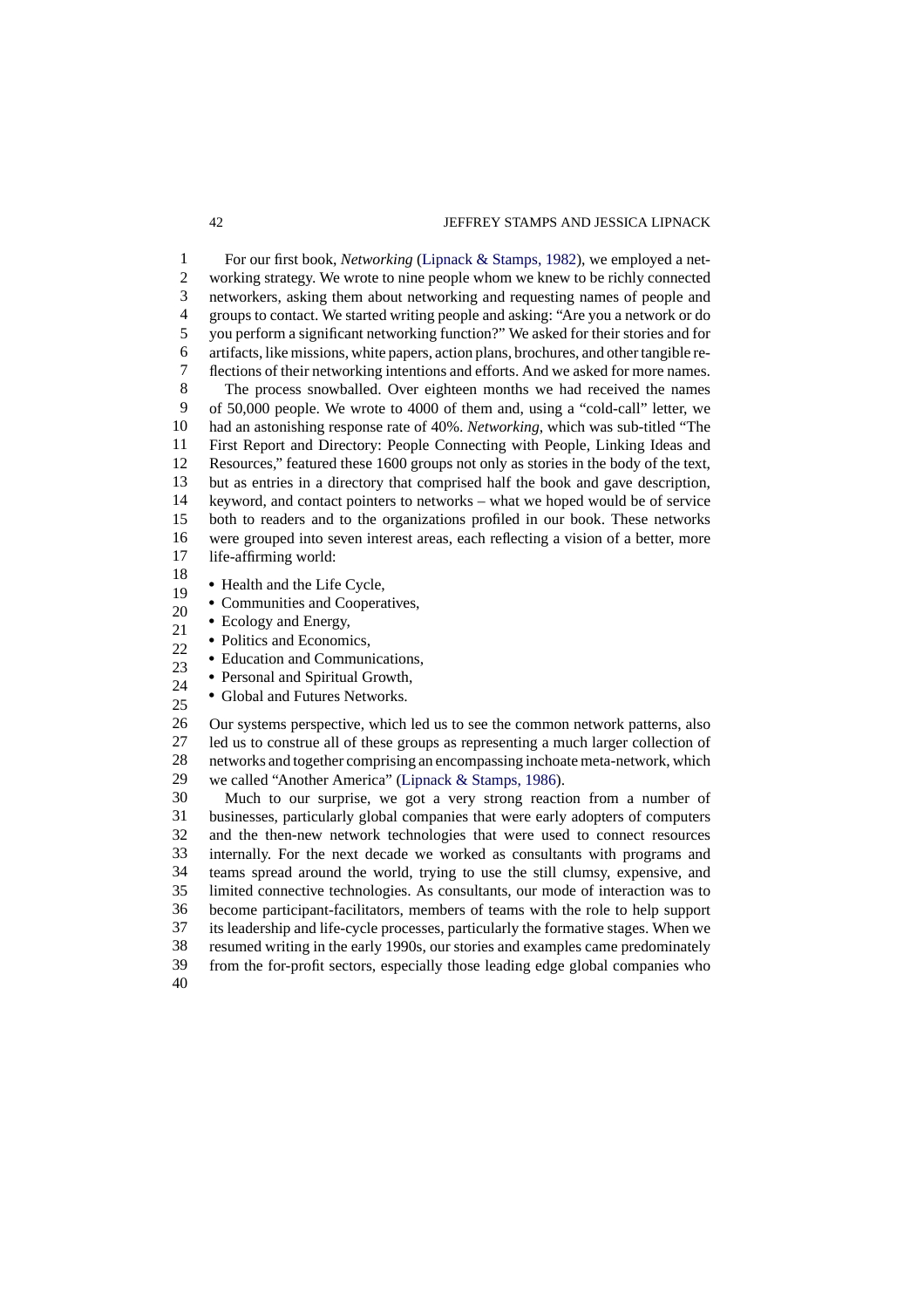1 2 3 4 5 6 7 8 9 10 11 12 13 14 15 16 17 For our first book, *Networking* ([Lipnack & Stamps, 1982\),](#page-26-0) we employed a networking strategy. We wrote to nine people whom we knew to be richly connected networkers, asking them about networking and requesting names of people and groups to contact. We started writing people and asking: "Are you a network or do you perform a significant networking function?" We asked for their stories and for artifacts, like missions, white papers, action plans, brochures, and other tangible reflections of their networking intentions and efforts. And we asked for more names. The process snowballed. Over eighteen months we had received the names of 50,000 people. We wrote to 4000 of them and, using a "cold-call" letter, we had an astonishing response rate of 40%. *Networking*, which was sub-titled "The First Report and Directory: People Connecting with People, Linking Ideas and Resources," featured these 1600 groups not only as stories in the body of the text, but as entries in a directory that comprised half the book and gave description, keyword, and contact pointers to networks – what we hoped would be of service both to readers and to the organizations profiled in our book. These networks were grouped into seven interest areas, each reflecting a vision of a better, more life-affirming world:

- 18 19 • Health and the Life Cycle,
- 20 Communities and Cooperatives,
- 21 • Ecology and Energy,
- 22 • Politics and Economics.
- 23 Education and Communications,
- 24 • Personal and Spiritual Growth.
- 25 Global and Futures Networks.

26 27 28 29 Our systems perspective, which led us to see the common network patterns, also led us to construe all of these groups as representing a much larger collection of networks and together comprising an encompassing inchoate meta-network, which we called "Another America" [\(Lipnack & Stamps, 1986\).](#page-26-0)

30 31 32 33 34 35 36 37 38 39 40 Much to our surprise, we got a very strong reaction from a number of businesses, particularly global companies that were early adopters of computers and the then-new network technologies that were used to connect resources internally. For the next decade we worked as consultants with programs and teams spread around the world, trying to use the still clumsy, expensive, and limited connective technologies. As consultants, our mode of interaction was to become participant-facilitators, members of teams with the role to help support its leadership and life-cycle processes, particularly the formative stages. When we resumed writing in the early 1990s, our stories and examples came predominately from the for-profit sectors, especially those leading edge global companies who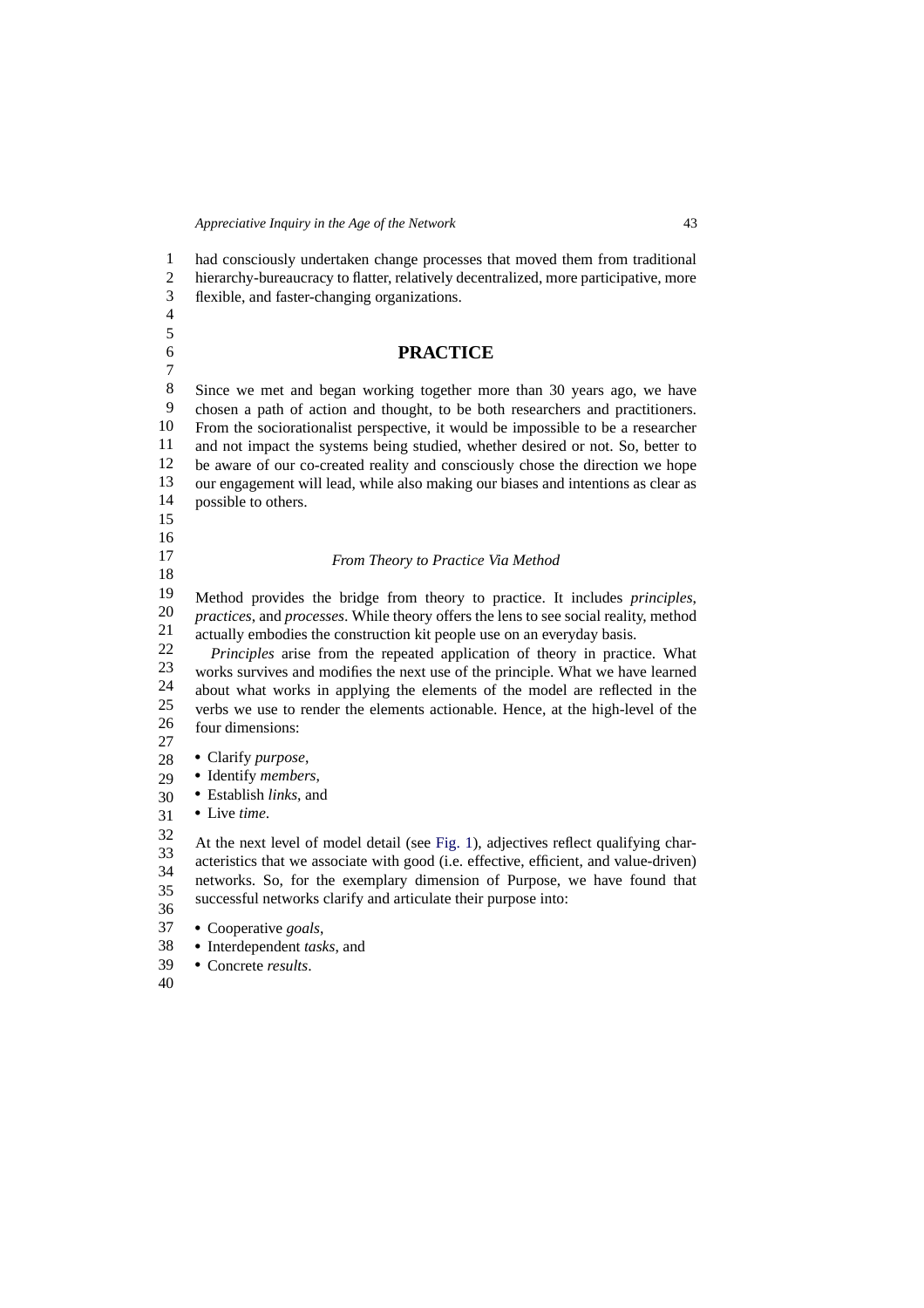1 2 3 had consciously undertaken change processes that moved them from traditional hierarchy-bureaucracy to flatter, relatively decentralized, more participative, more flexible, and faster-changing organizations.

#### **PRACTICE**

8 9 10 11 12 13 14 Since we met and began working together more than 30 years ago, we have chosen a path of action and thought, to be both researchers and practitioners. From the sociorationalist perspective, it would be impossible to be a researcher and not impact the systems being studied, whether desired or not. So, better to be aware of our co-created reality and consciously chose the direction we hope our engagement will lead, while also making our biases and intentions as clear as possible to others.

15

16 17

18

#### *From Theory to Practice Via Method*

19 20 21 Method provides the bridge from theory to practice. It includes *principles*, *practices*, and *processes*. While theory offers the lens to see social reality, method actually embodies the construction kit people use on an everyday basis.

22 23 24 25 26 27 *Principles* arise from the repeated application of theory in practice. What works survives and modifies the next use of the principle. What we have learned about what works in applying the elements of the model are reflected in the verbs we use to render the elements actionable. Hence, at the high-level of the four dimensions:

- 28 Clarify *purpose*,
- 29 Identify *members*,
- 30 Establish *links*, and
- 31 Live *time*.

32 33 34 35 36 At the next level of model detail (see [Fig. 1\),](#page-15-0) adjectives reflect qualifying characteristics that we associate with good (i.e. effective, efficient, and value-driven) networks. So, for the exemplary dimension of Purpose, we have found that successful networks clarify and articulate their purpose into:

- 
- 37 Cooperative *goals*,
- 38 • Interdependent *tasks*, and
- 39 Concrete *results*.
- 40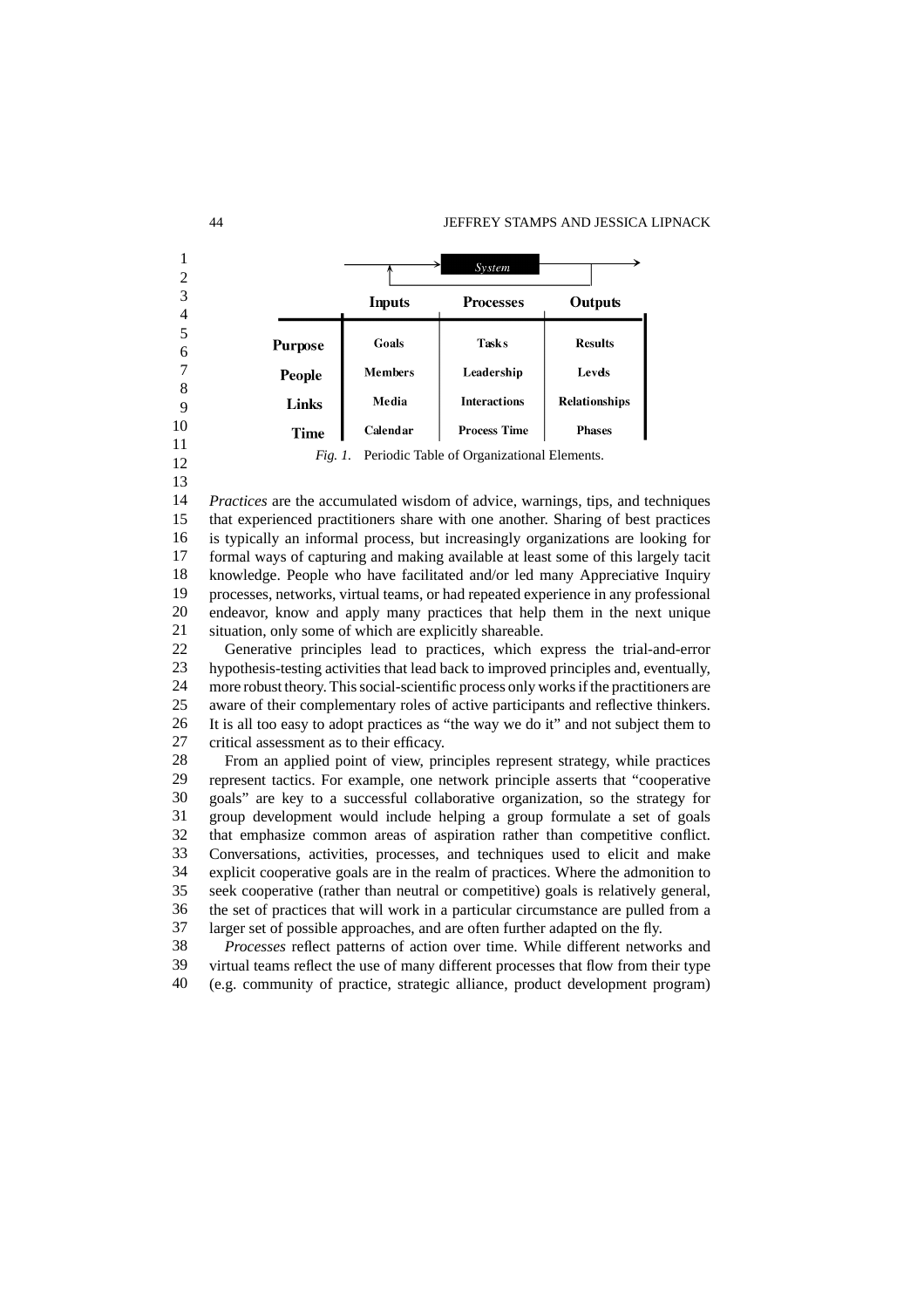<span id="page-15-0"></span>

*Fig. 1.* Periodic Table of Organizational Elements.

14 15 16 17 18 19 20 21 *Practices* are the accumulated wisdom of advice, warnings, tips, and techniques that experienced practitioners share with one another. Sharing of best practices is typically an informal process, but increasingly organizations are looking for formal ways of capturing and making available at least some of this largely tacit knowledge. People who have facilitated and/or led many Appreciative Inquiry processes, networks, virtual teams, or had repeated experience in any professional endeavor, know and apply many practices that help them in the next unique situation, only some of which are explicitly shareable.

22 23 24 25 26 27 Generative principles lead to practices, which express the trial-and-error hypothesis-testing activities that lead back to improved principles and, eventually, more robust theory. This social-scientific process only works if the practitioners are aware of their complementary roles of active participants and reflective thinkers. It is all too easy to adopt practices as "the way we do it" and not subject them to critical assessment as to their efficacy.

28 29 30 31 32 33 34 35 36 37 From an applied point of view, principles represent strategy, while practices represent tactics. For example, one network principle asserts that "cooperative goals" are key to a successful collaborative organization, so the strategy for group development would include helping a group formulate a set of goals that emphasize common areas of aspiration rather than competitive conflict. Conversations, activities, processes, and techniques used to elicit and make explicit cooperative goals are in the realm of practices. Where the admonition to seek cooperative (rather than neutral or competitive) goals is relatively general, the set of practices that will work in a particular circumstance are pulled from a larger set of possible approaches, and are often further adapted on the fly.

38 39 40 *Processes* reflect patterns of action over time. While different networks and virtual teams reflect the use of many different processes that flow from their type (e.g. community of practice, strategic alliance, product development program)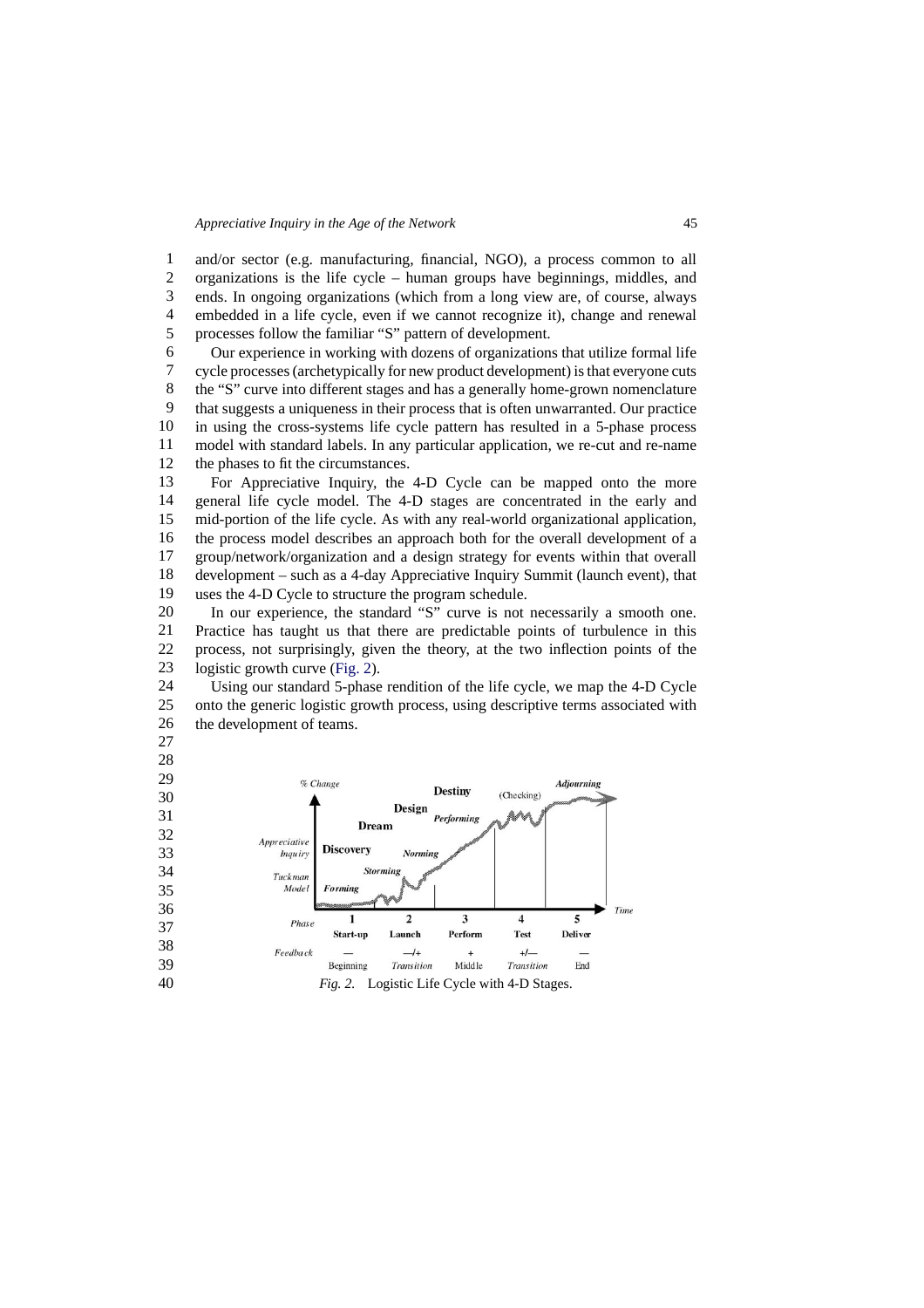1 2 3 4 5 and/or sector (e.g. manufacturing, financial, NGO), a process common to all organizations is the life cycle – human groups have beginnings, middles, and ends. In ongoing organizations (which from a long view are, of course, always embedded in a life cycle, even if we cannot recognize it), change and renewal processes follow the familiar "S" pattern of development.

6 7 8 9 10 11 12 Our experience in working with dozens of organizations that utilize formal life cycle processes (archetypically for new product development) is that everyone cuts the "S" curve into different stages and has a generally home-grown nomenclature that suggests a uniqueness in their process that is often unwarranted. Our practice in using the cross-systems life cycle pattern has resulted in a 5-phase process model with standard labels. In any particular application, we re-cut and re-name the phases to fit the circumstances.

13 14 15 16 17 18 19 For Appreciative Inquiry, the 4-D Cycle can be mapped onto the more general life cycle model. The 4-D stages are concentrated in the early and mid-portion of the life cycle. As with any real-world organizational application, the process model describes an approach both for the overall development of a group/network/organization and a design strategy for events within that overall development – such as a 4-day Appreciative Inquiry Summit (launch event), that uses the 4-D Cycle to structure the program schedule.

20 21 22 23 In our experience, the standard "S" curve is not necessarily a smooth one. Practice has taught us that there are predictable points of turbulence in this process, not surprisingly, given the theory, at the two inflection points of the logistic growth curve (Fig. 2).

24 25 26 Using our standard 5-phase rendition of the life cycle, we map the 4-D Cycle onto the generic logistic growth process, using descriptive terms associated with the development of teams.



*Fig. 2.* Logistic Life Cycle with 4-D Stages.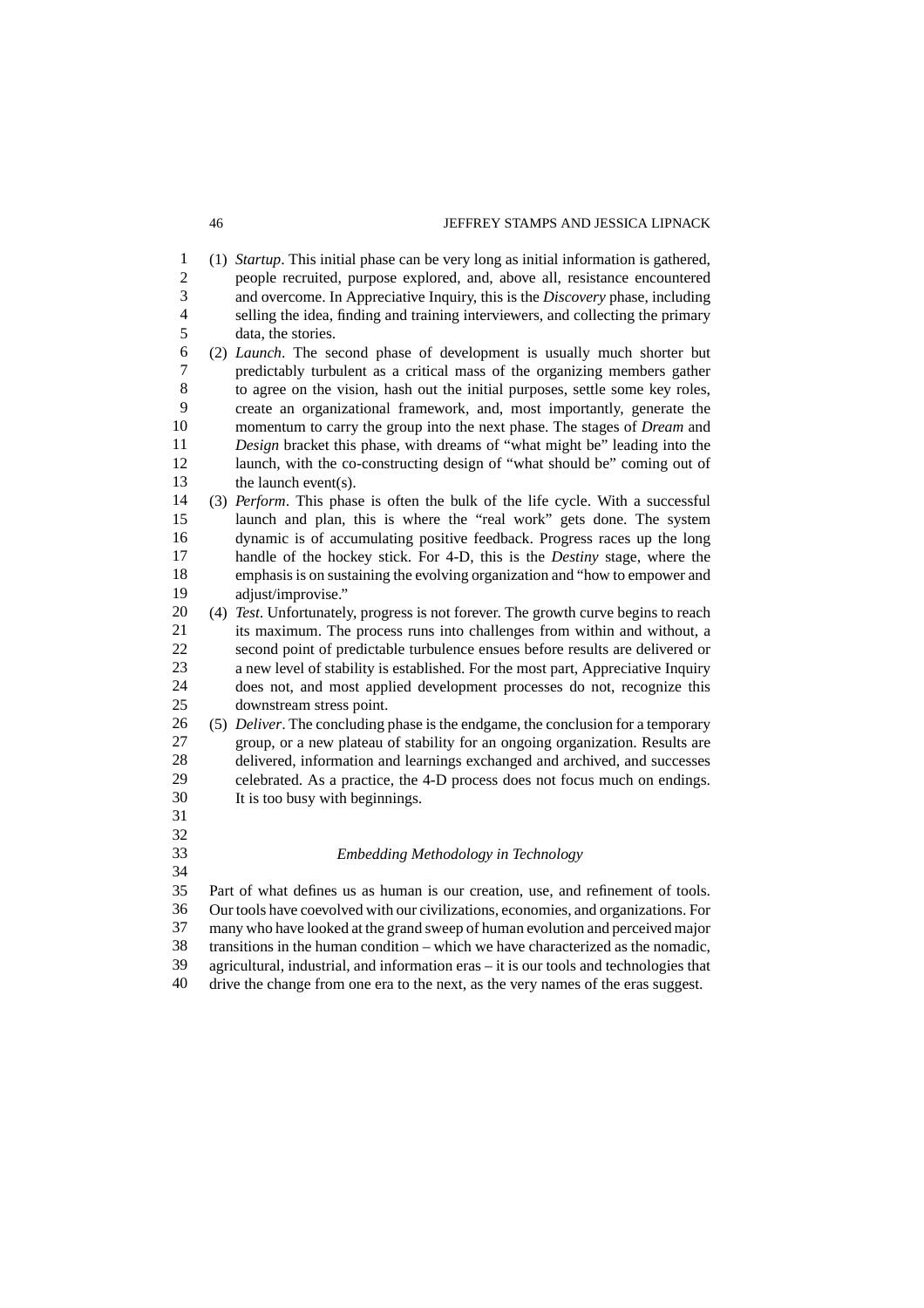- 1 2 3 4 5 (1) *Startup*. This initial phase can be very long as initial information is gathered, people recruited, purpose explored, and, above all, resistance encountered and overcome. In Appreciative Inquiry, this is the *Discovery* phase, including selling the idea, finding and training interviewers, and collecting the primary data, the stories.
- 6 7 8 9 10 11 12 13 (2) *Launch*. The second phase of development is usually much shorter but predictably turbulent as a critical mass of the organizing members gather to agree on the vision, hash out the initial purposes, settle some key roles, create an organizational framework, and, most importantly, generate the momentum to carry the group into the next phase. The stages of *Dream* and *Design* bracket this phase, with dreams of "what might be" leading into the launch, with the co-constructing design of "what should be" coming out of the launch event(s).
- 14 15 16 17 18 19 (3) *Perform*. This phase is often the bulk of the life cycle. With a successful launch and plan, this is where the "real work" gets done. The system dynamic is of accumulating positive feedback. Progress races up the long handle of the hockey stick. For 4-D, this is the *Destiny* stage, where the emphasis is on sustaining the evolving organization and "how to empower and adjust/improvise."
- 20 21 22 23 24 25 (4) *Test*. Unfortunately, progress is not forever. The growth curve begins to reach its maximum. The process runs into challenges from within and without, a second point of predictable turbulence ensues before results are delivered or a new level of stability is established. For the most part, Appreciative Inquiry does not, and most applied development processes do not, recognize this downstream stress point.
- 26 27 28 29 30 (5) *Deliver*. The concluding phase is the endgame, the conclusion for a temporary group, or a new plateau of stability for an ongoing organization. Results are delivered, information and learnings exchanged and archived, and successes celebrated. As a practice, the 4-D process does not focus much on endings. It is too busy with beginnings.
- 31
- 32
- 33 34

#### *Embedding Methodology in Technology*

35 36 37 38 39 Part of what defines us as human is our creation, use, and refinement of tools. Our tools have coevolved with our civilizations, economies, and organizations. For many who have looked at the grand sweep of human evolution and perceived major transitions in the human condition – which we have characterized as the nomadic, agricultural, industrial, and information eras – it is our tools and technologies that

40 drive the change from one era to the next, as the very names of the eras suggest.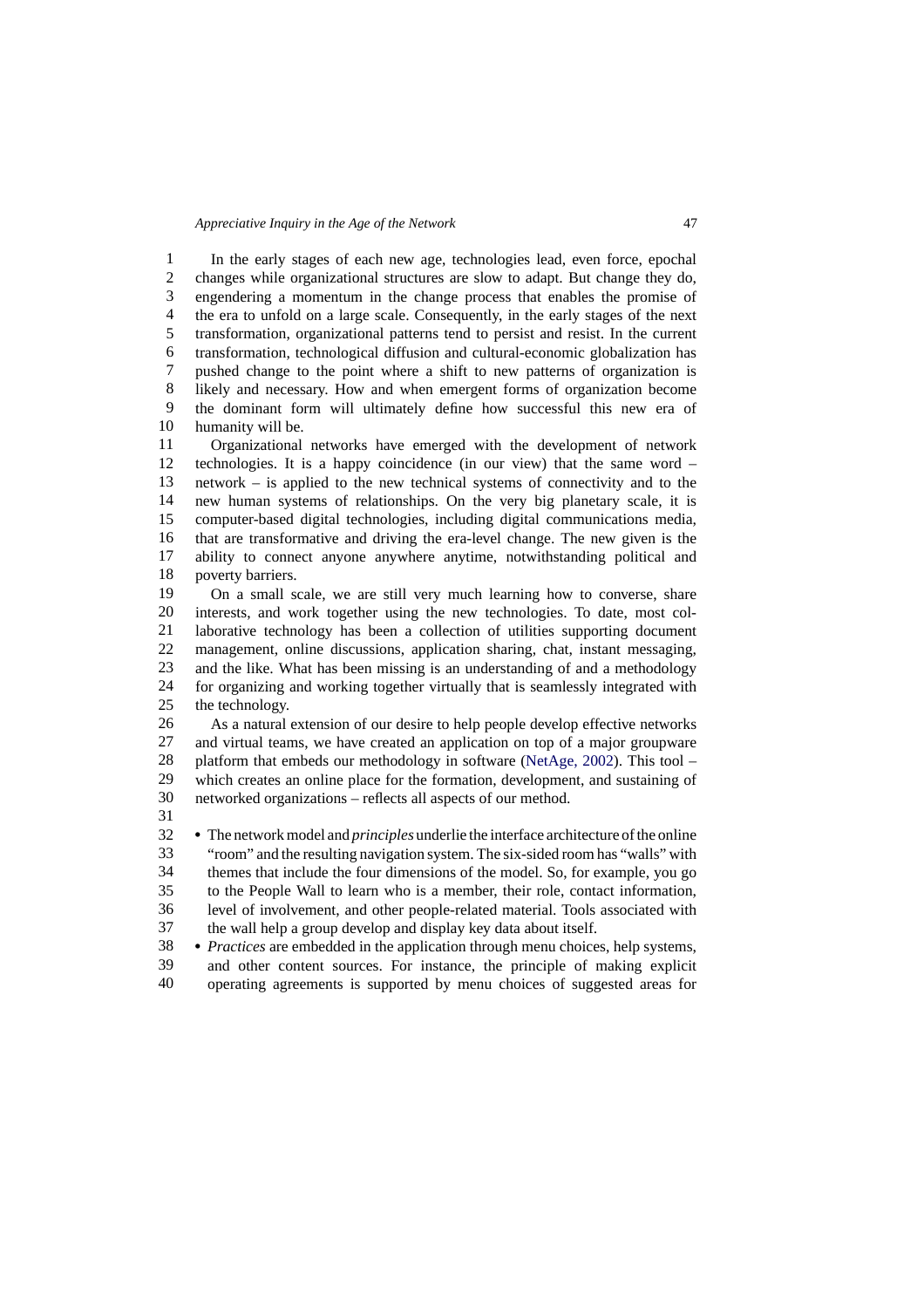1 2 3 4 5 6 7 8 9 10 In the early stages of each new age, technologies lead, even force, epochal changes while organizational structures are slow to adapt. But change they do, engendering a momentum in the change process that enables the promise of the era to unfold on a large scale. Consequently, in the early stages of the next transformation, organizational patterns tend to persist and resist. In the current transformation, technological diffusion and cultural-economic globalization has pushed change to the point where a shift to new patterns of organization is likely and necessary. How and when emergent forms of organization become the dominant form will ultimately define how successful this new era of humanity will be.

11 12 13 14 15 16 17 18 Organizational networks have emerged with the development of network technologies. It is a happy coincidence (in our view) that the same word – network – is applied to the new technical systems of connectivity and to the new human systems of relationships. On the very big planetary scale, it is computer-based digital technologies, including digital communications media, that are transformative and driving the era-level change. The new given is the ability to connect anyone anywhere anytime, notwithstanding political and poverty barriers.

19 20 21 22 23 24 25 On a small scale, we are still very much learning how to converse, share interests, and work together using the new technologies. To date, most collaborative technology has been a collection of utilities supporting document management, online discussions, application sharing, chat, instant messaging, and the like. What has been missing is an understanding of and a methodology for organizing and working together virtually that is seamlessly integrated with the technology.

26 27 28 29 30 As a natural extension of our desire to help people develop effective networks and virtual teams, we have created an application on top of a major groupware platform that embeds our methodology in software ([NetAge, 2002\).](#page-26-0) This tool – which creates an online place for the formation, development, and sustaining of networked organizations – reflects all aspects of our method.

31

32 33 34 35 36 37 The network model and *principles* underlie the interface architecture of the online "room" and the resulting navigation system. The six-sided room has "walls" with themes that include the four dimensions of the model. So, for example, you go to the People Wall to learn who is a member, their role, contact information, level of involvement, and other people-related material. Tools associated with the wall help a group develop and display key data about itself.

38 39 40 *Practices* are embedded in the application through menu choices, help systems, and other content sources. For instance, the principle of making explicit operating agreements is supported by menu choices of suggested areas for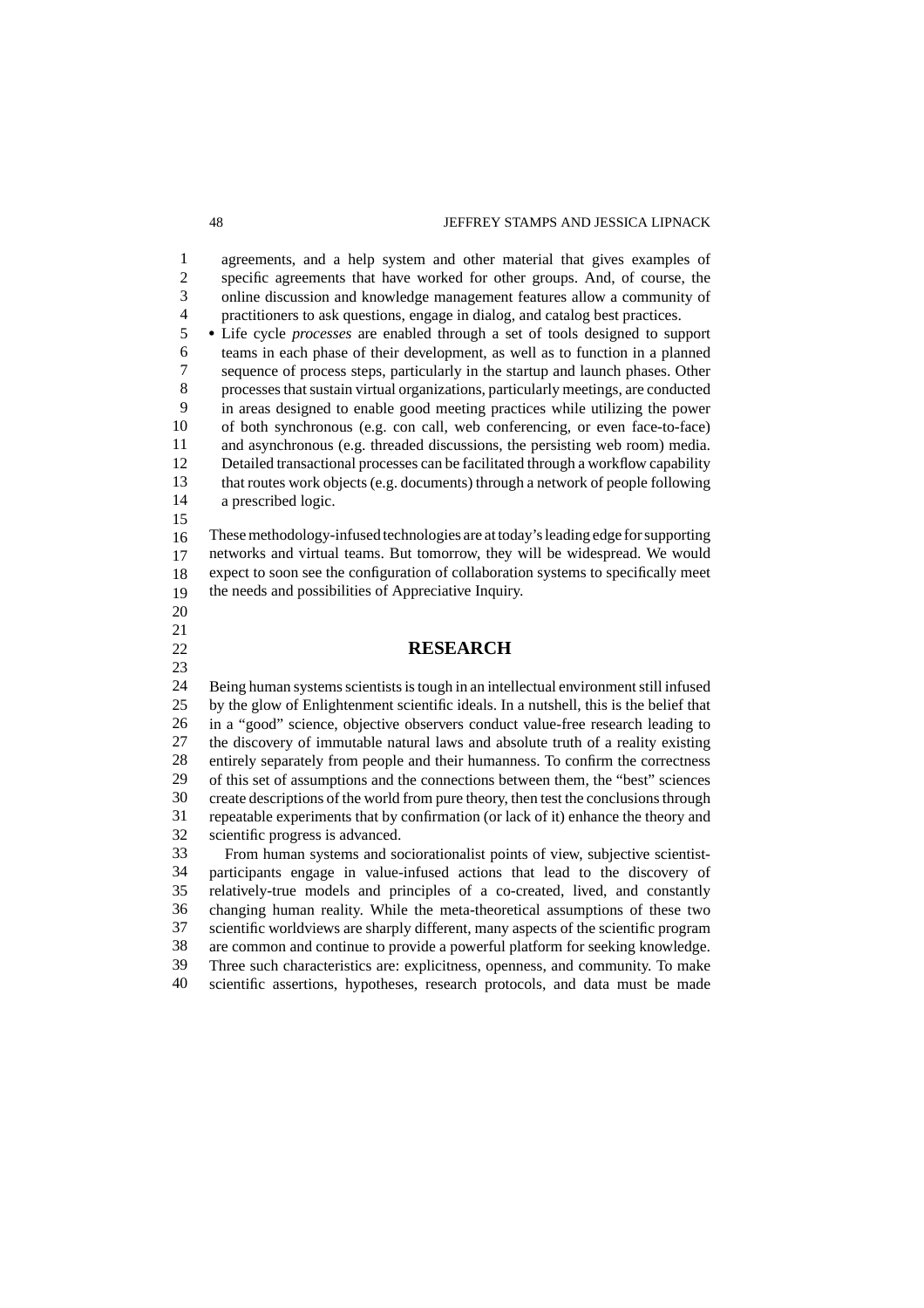1 2 3 4 agreements, and a help system and other material that gives examples of specific agreements that have worked for other groups. And, of course, the online discussion and knowledge management features allow a community of practitioners to ask questions, engage in dialog, and catalog best practices.

5 6 7 8 9 10 11 12 13 14 Life cycle *processes* are enabled through a set of tools designed to support teams in each phase of their development, as well as to function in a planned sequence of process steps, particularly in the startup and launch phases. Other processes that sustain virtual organizations, particularly meetings, are conducted in areas designed to enable good meeting practices while utilizing the power of both synchronous (e.g. con call, web conferencing, or even face-to-face) and asynchronous (e.g. threaded discussions, the persisting web room) media. Detailed transactional processes can be facilitated through a workflow capability that routes work objects (e.g. documents) through a network of people following a prescribed logic.

15

16 17 18 19 These methodology-infused technologies are at today's leading edge for supporting networks and virtual teams. But tomorrow, they will be widespread. We would expect to soon see the configuration of collaboration systems to specifically meet the needs and possibilities of Appreciative Inquiry.

- 20
- 21
- 22
- 23

### **RESEARCH**

24 25 26 27 28 29 30 31 32 Being human systems scientists is tough in an intellectual environment still infused by the glow of Enlightenment scientific ideals. In a nutshell, this is the belief that in a "good" science, objective observers conduct value-free research leading to the discovery of immutable natural laws and absolute truth of a reality existing entirely separately from people and their humanness. To confirm the correctness of this set of assumptions and the connections between them, the "best" sciences create descriptions of the world from pure theory, then test the conclusions through repeatable experiments that by confirmation (or lack of it) enhance the theory and scientific progress is advanced.

33 34 35 36 37 38 39 40 From human systems and sociorationalist points of view, subjective scientistparticipants engage in value-infused actions that lead to the discovery of relatively-true models and principles of a co-created, lived, and constantly changing human reality. While the meta-theoretical assumptions of these two scientific worldviews are sharply different, many aspects of the scientific program are common and continue to provide a powerful platform for seeking knowledge. Three such characteristics are: explicitness, openness, and community. To make scientific assertions, hypotheses, research protocols, and data must be made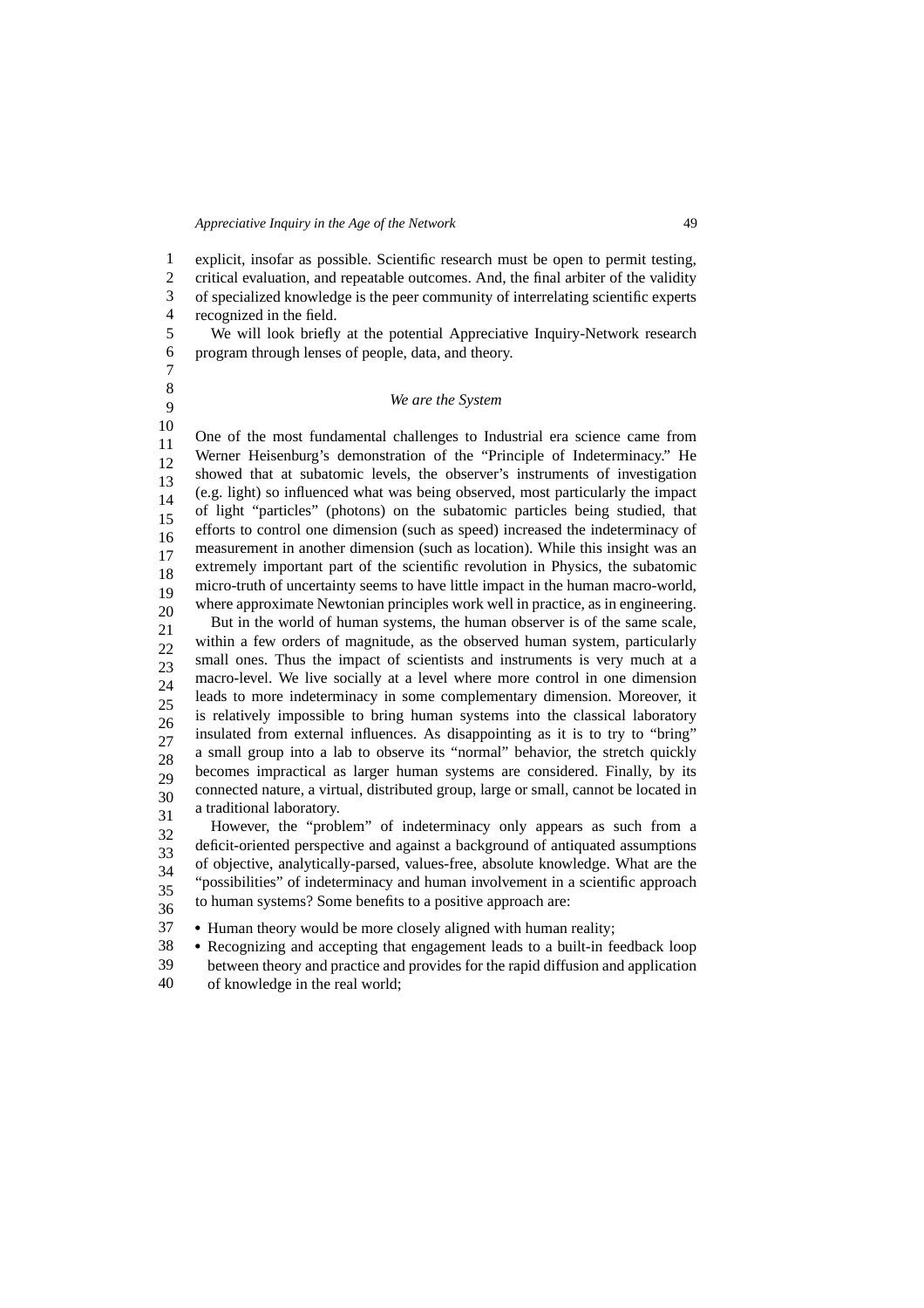1 2 3 4 explicit, insofar as possible. Scientific research must be open to permit testing, critical evaluation, and repeatable outcomes. And, the final arbiter of the validity of specialized knowledge is the peer community of interrelating scientific experts recognized in the field.

5 6 We will look briefly at the potential Appreciative Inquiry-Network research program through lenses of people, data, and theory.

*We are the System*

#### 7 8

9

10 11 12 13 14 15 16 17 One of the most fundamental challenges to Industrial era science came from Werner Heisenburg's demonstration of the "Principle of Indeterminacy." He showed that at subatomic levels, the observer's instruments of investigation (e.g. light) so influenced what was being observed, most particularly the impact of light "particles" (photons) on the subatomic particles being studied, that efforts to control one dimension (such as speed) increased the indeterminacy of measurement in another dimension (such as location). While this insight was an extremely important part of the scientific revolution in Physics, the subatomic micro-truth of uncertainty seems to have little impact in the human macro-world, where approximate Newtonian principles work well in practice, as in engineering.

21 22 23 24 25 26 27 28 29 30 31 But in the world of human systems, the human observer is of the same scale, within a few orders of magnitude, as the observed human system, particularly small ones. Thus the impact of scientists and instruments is very much at a macro-level. We live socially at a level where more control in one dimension leads to more indeterminacy in some complementary dimension. Moreover, it is relatively impossible to bring human systems into the classical laboratory insulated from external influences. As disappointing as it is to try to "bring" a small group into a lab to observe its "normal" behavior, the stretch quickly becomes impractical as larger human systems are considered. Finally, by its connected nature, a virtual, distributed group, large or small, cannot be located in a traditional laboratory.

32 33 34 35 36 However, the "problem" of indeterminacy only appears as such from a deficit-oriented perspective and against a background of antiquated assumptions of objective, analytically-parsed, values-free, absolute knowledge. What are the "possibilities" of indeterminacy and human involvement in a scientific approach to human systems? Some benefits to a positive approach are:

37 • Human theory would be more closely aligned with human reality;

38 39 Recognizing and accepting that engagement leads to a built-in feedback loop between theory and practice and provides for the rapid diffusion and application

40 of knowledge in the real world;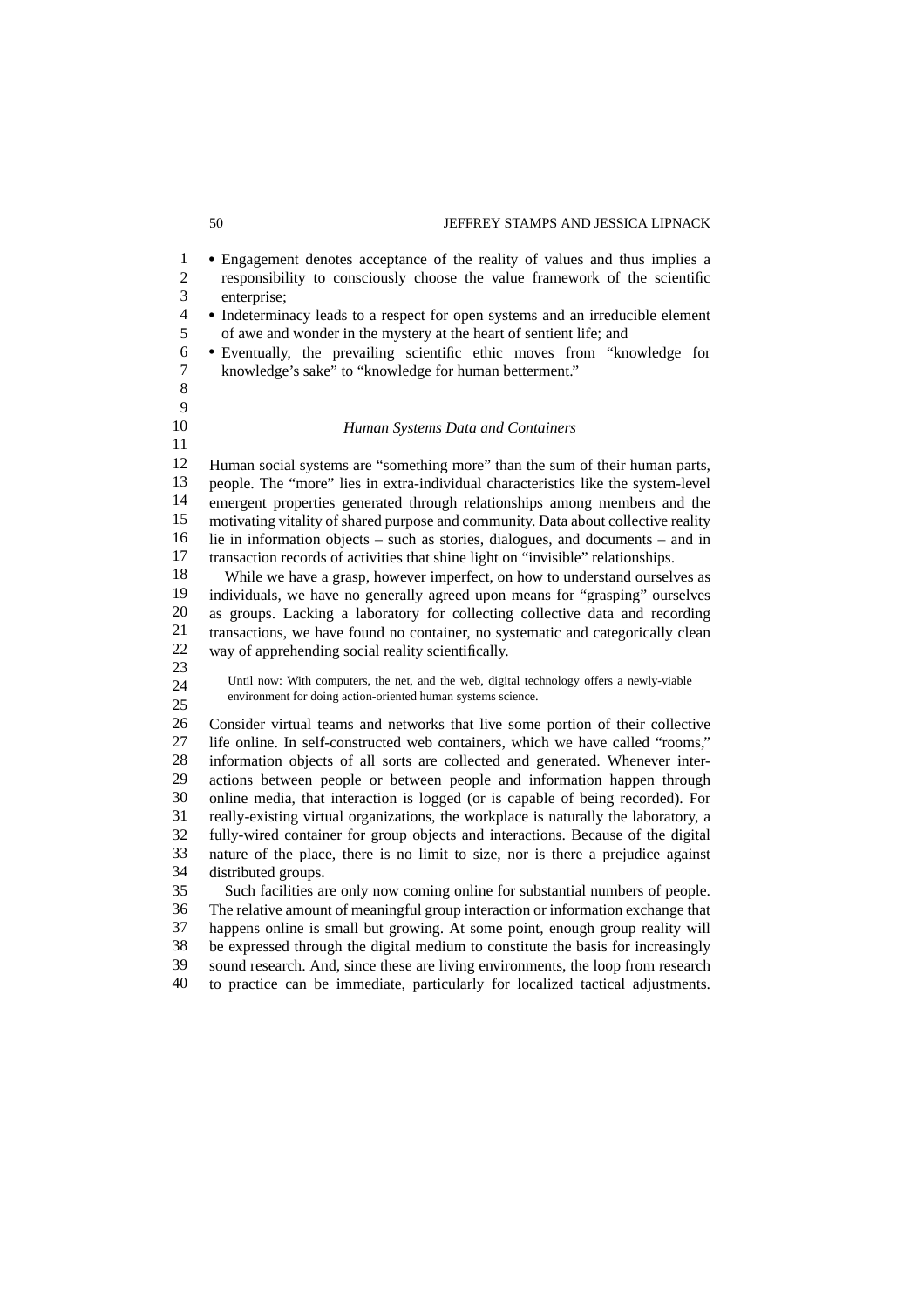- 1 2 3 Engagement denotes acceptance of the reality of values and thus implies a responsibility to consciously choose the value framework of the scientific enterprise;
- 4 5 Indeterminacy leads to a respect for open systems and an irreducible element of awe and wonder in the mystery at the heart of sentient life; and
- 6 7 Eventually, the prevailing scientific ethic moves from "knowledge for knowledge's sake" to "knowledge for human betterment."
- 8
- 9
- 10 11

#### *Human Systems Data and Containers*

12 13 14 15 16 17 Human social systems are "something more" than the sum of their human parts, people. The "more" lies in extra-individual characteristics like the system-level emergent properties generated through relationships among members and the motivating vitality of shared purpose and community. Data about collective reality lie in information objects – such as stories, dialogues, and documents – and in transaction records of activities that shine light on "invisible" relationships.

18 19 20 21 22 While we have a grasp, however imperfect, on how to understand ourselves as individuals, we have no generally agreed upon means for "grasping" ourselves as groups. Lacking a laboratory for collecting collective data and recording transactions, we have found no container, no systematic and categorically clean way of apprehending social reality scientifically.

- 23
- 24 25

Until now: With computers, the net, and the web, digital technology offers a newly-viable environment for doing action-oriented human systems science.

26 27 28 29 30 31 32 33 34 Consider virtual teams and networks that live some portion of their collective life online. In self-constructed web containers, which we have called "rooms," information objects of all sorts are collected and generated. Whenever interactions between people or between people and information happen through online media, that interaction is logged (or is capable of being recorded). For really-existing virtual organizations, the workplace is naturally the laboratory, a fully-wired container for group objects and interactions. Because of the digital nature of the place, there is no limit to size, nor is there a prejudice against distributed groups.

35 36 37 38 39 40 Such facilities are only now coming online for substantial numbers of people. The relative amount of meaningful group interaction or information exchange that happens online is small but growing. At some point, enough group reality will be expressed through the digital medium to constitute the basis for increasingly sound research. And, since these are living environments, the loop from research to practice can be immediate, particularly for localized tactical adjustments.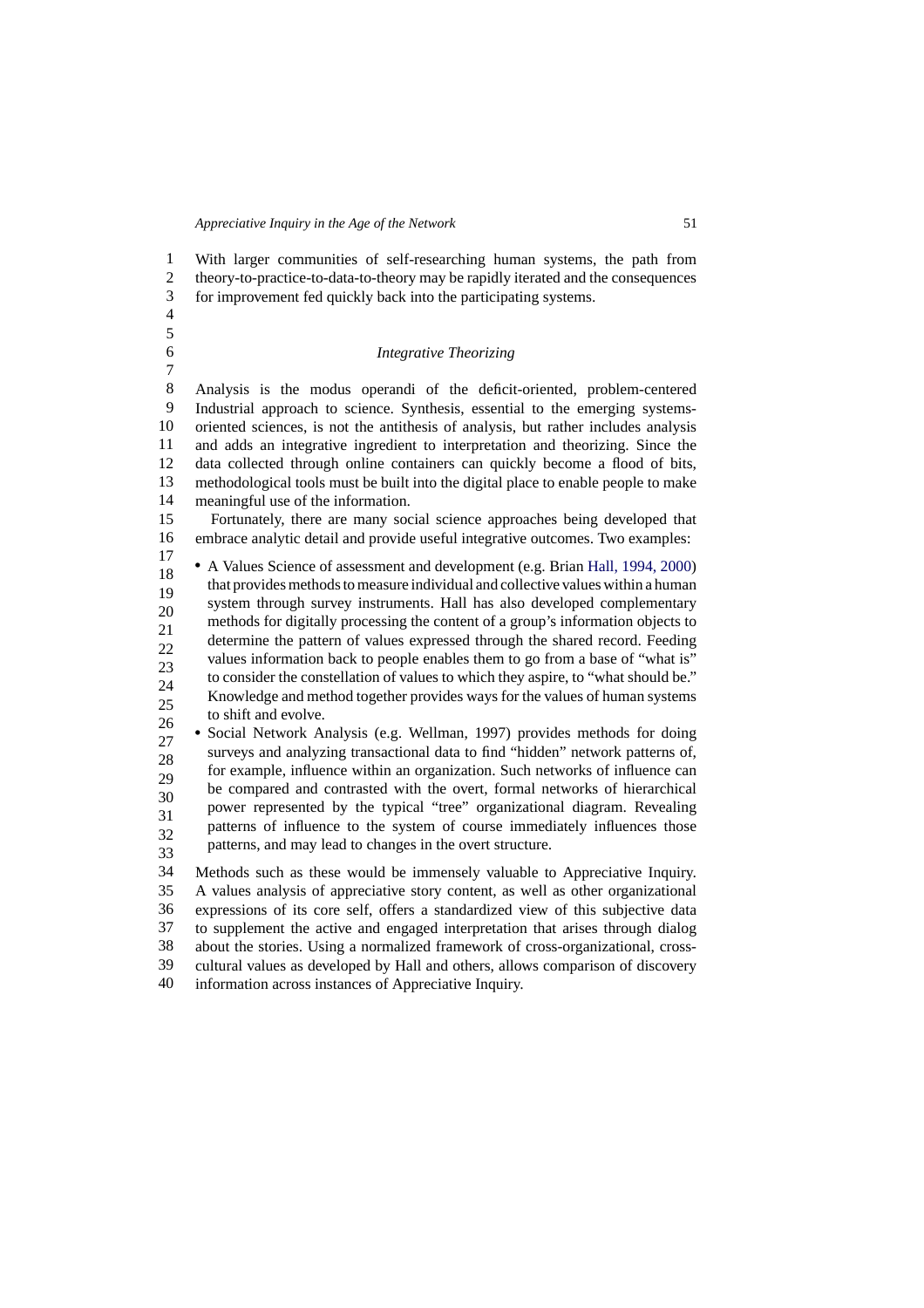5 6 7

1 2 3 4 With larger communities of self-researching human systems, the path from theory-to-practice-to-data-to-theory may be rapidly iterated and the consequences for improvement fed quickly back into the participating systems.

#### *Integrative Theorizing*

8 9 10 11 12 13 14 Analysis is the modus operandi of the deficit-oriented, problem-centered Industrial approach to science. Synthesis, essential to the emerging systemsoriented sciences, is not the antithesis of analysis, but rather includes analysis and adds an integrative ingredient to interpretation and theorizing. Since the data collected through online containers can quickly become a flood of bits, methodological tools must be built into the digital place to enable people to make meaningful use of the information.

15 16 Fortunately, there are many social science approaches being developed that embrace analytic detail and provide useful integrative outcomes. Two examples:

17 18 19 20 21 22 23 24 25 26 A Values Science of assessment and development (e.g. Brian [Hall, 1994, 2000\)](#page-26-0) that provides methods to measure individual and collective values within a human system through survey instruments. Hall has also developed complementary methods for digitally processing the content of a group's information objects to determine the pattern of values expressed through the shared record. Feeding values information back to people enables them to go from a base of "what is" to consider the constellation of values to which they aspire, to "what should be." Knowledge and method together provides ways for the values of human systems to shift and evolve.

27 28 29 30 31 32 33 • Social Network Analysis (e.g. Wellman, 1997) provides methods for doing surveys and analyzing transactional data to find "hidden" network patterns of, for example, influence within an organization. Such networks of influence can be compared and contrasted with the overt, formal networks of hierarchical power represented by the typical "tree" organizational diagram. Revealing patterns of influence to the system of course immediately influences those patterns, and may lead to changes in the overt structure.

34 35 36 37 38 39 40 Methods such as these would be immensely valuable to Appreciative Inquiry. A values analysis of appreciative story content, as well as other organizational expressions of its core self, offers a standardized view of this subjective data to supplement the active and engaged interpretation that arises through dialog about the stories. Using a normalized framework of cross-organizational, crosscultural values as developed by Hall and others, allows comparison of discovery information across instances of Appreciative Inquiry.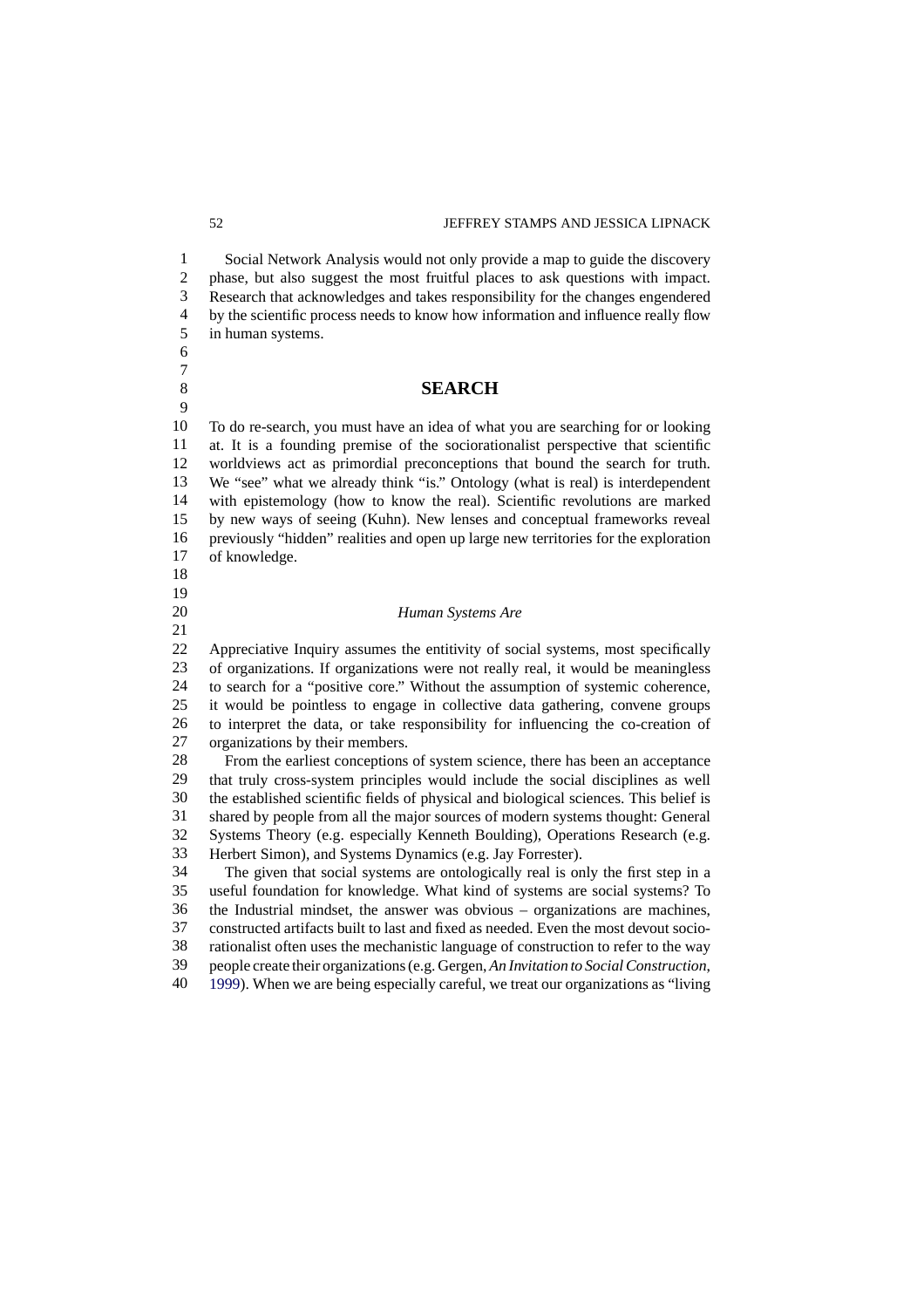1 2 3 4 5 Social Network Analysis would not only provide a map to guide the discovery phase, but also suggest the most fruitful places to ask questions with impact. Research that acknowledges and takes responsibility for the changes engendered by the scientific process needs to know how information and influence really flow in human systems.

#### **SEARCH**

10 11 12 13 14 15 16 17 To do re-search, you must have an idea of what you are searching for or looking at. It is a founding premise of the sociorationalist perspective that scientific worldviews act as primordial preconceptions that bound the search for truth. We "see" what we already think "is." Ontology (what is real) is interdependent with epistemology (how to know the real). Scientific revolutions are marked by new ways of seeing (Kuhn). New lenses and conceptual frameworks reveal previously "hidden" realities and open up large new territories for the exploration of knowledge.

#### 18

#### 19

#### 20

21

# *Human Systems Are*

22 23 24 25 26 27 Appreciative Inquiry assumes the entitivity of social systems, most specifically of organizations. If organizations were not really real, it would be meaningless to search for a "positive core." Without the assumption of systemic coherence, it would be pointless to engage in collective data gathering, convene groups to interpret the data, or take responsibility for influencing the co-creation of organizations by their members.

28 29 30 31 32 33 From the earliest conceptions of system science, there has been an acceptance that truly cross-system principles would include the social disciplines as well the established scientific fields of physical and biological sciences. This belief is shared by people from all the major sources of modern systems thought: General Systems Theory (e.g. especially Kenneth Boulding), Operations Research (e.g. Herbert Simon), and Systems Dynamics (e.g. Jay Forrester).

34 35 36 37 38 39 40 The given that social systems are ontologically real is only the first step in a useful foundation for knowledge. What kind of systems are social systems? To the Industrial mindset, the answer was obvious – organizations are machines, constructed artifacts built to last and fixed as needed. Even the most devout sociorationalist often uses the mechanistic language of construction to refer to the way people create their organizations (e.g. Gergen,*An Invitation to Social Construction*, [1999\).](#page-26-0) When we are being especially careful, we treat our organizations as "living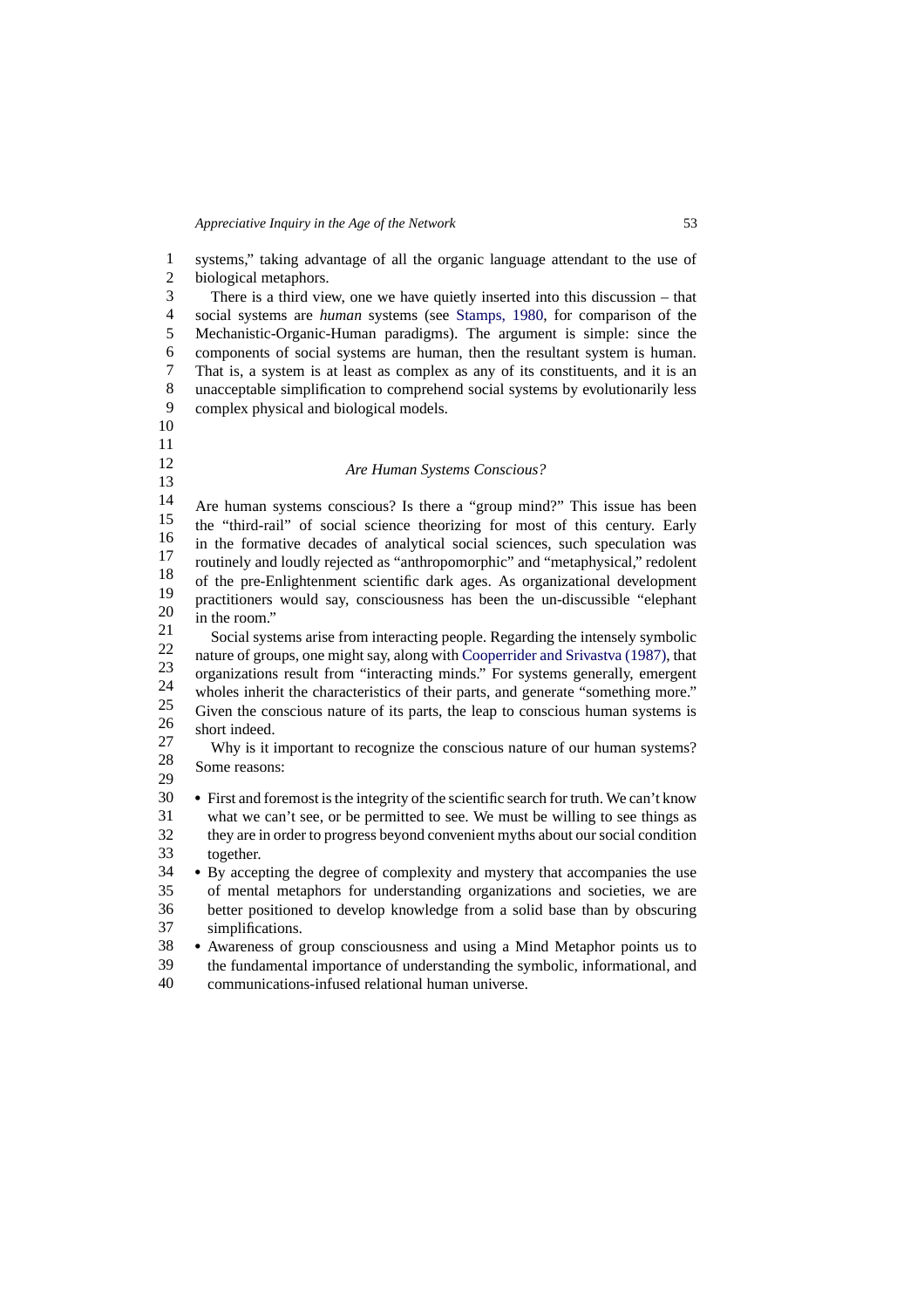1 2 systems," taking advantage of all the organic language attendant to the use of biological metaphors.

3 4 5 6 7 8 9 There is a third view, one we have quietly inserted into this discussion – that social systems are *human* systems (see [Stamps, 1980,](#page-26-0) for comparison of the Mechanistic-Organic-Human paradigms). The argument is simple: since the components of social systems are human, then the resultant system is human. That is, a system is at least as complex as any of its constituents, and it is an unacceptable simplification to comprehend social systems by evolutionarily less complex physical and biological models.

- 10
- 11
- 12
- 13

#### *Are Human Systems Conscious?*

14 15 16 17 18 19 20 Are human systems conscious? Is there a "group mind?" This issue has been the "third-rail" of social science theorizing for most of this century. Early in the formative decades of analytical social sciences, such speculation was routinely and loudly rejected as "anthropomorphic" and "metaphysical," redolent of the pre-Enlightenment scientific dark ages. As organizational development practitioners would say, consciousness has been the un-discussible "elephant in the room."

21 22 23 24 25 26 Social systems arise from interacting people. Regarding the intensely symbolic nature of groups, one might say, along with [Cooperrider and Srivastva \(1987\), t](#page-26-0)hat organizations result from "interacting minds." For systems generally, emergent wholes inherit the characteristics of their parts, and generate "something more." Given the conscious nature of its parts, the leap to conscious human systems is short indeed.

- 27 28 29 Why is it important to recognize the conscious nature of our human systems? Some reasons:
- 30 31 32 33 First and foremost is the integrity of the scientific search for truth. We can't know what we can't see, or be permitted to see. We must be willing to see things as they are in order to progress beyond convenient myths about our social condition together.
- 34 35 36 37 By accepting the degree of complexity and mystery that accompanies the use of mental metaphors for understanding organizations and societies, we are better positioned to develop knowledge from a solid base than by obscuring simplifications.
- 38 39 40 Awareness of group consciousness and using a Mind Metaphor points us to the fundamental importance of understanding the symbolic, informational, and communications-infused relational human universe.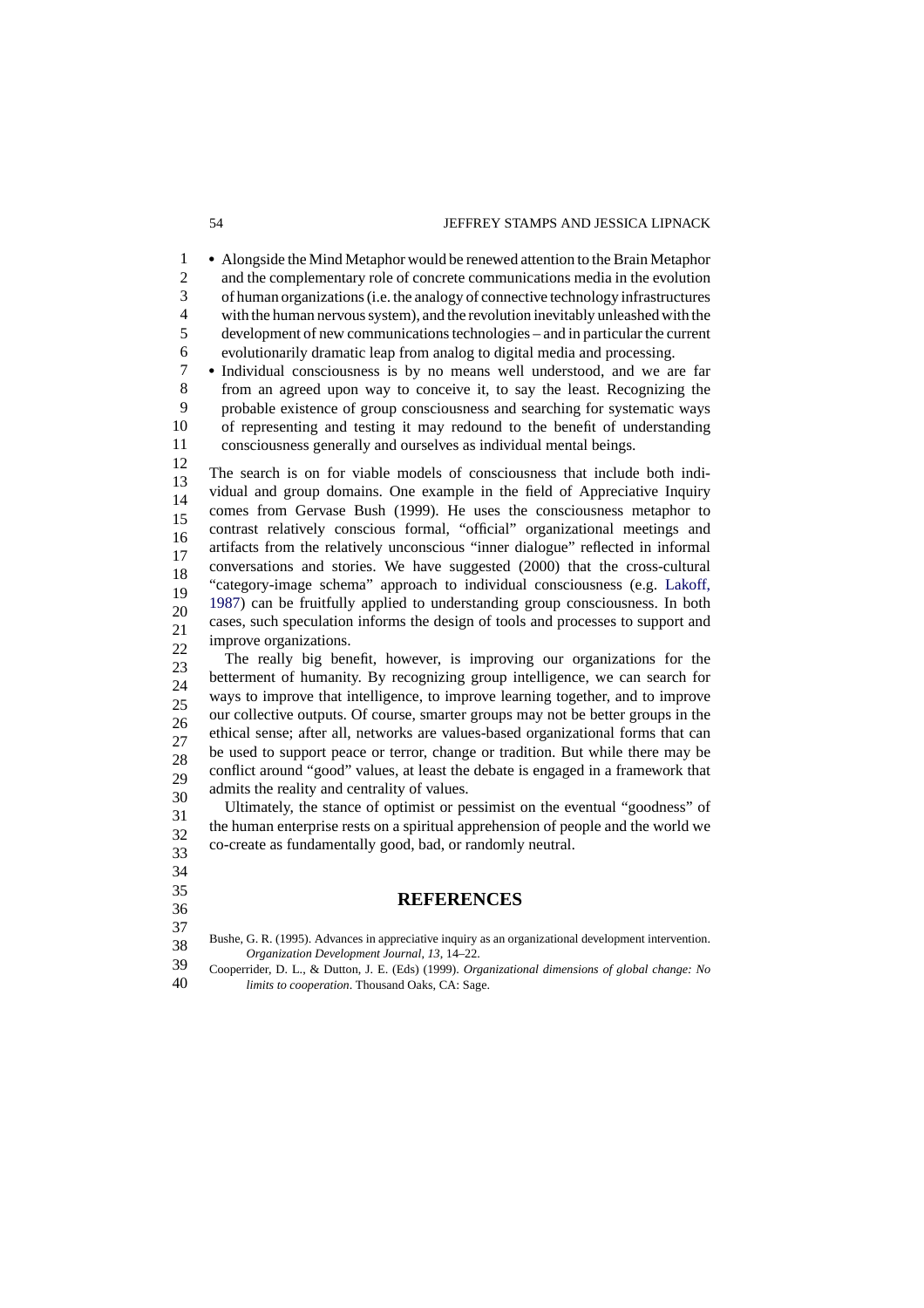- <span id="page-25-0"></span>1 2 3 4 5 6 Alongside the Mind Metaphor would be renewed attention to the Brain Metaphor and the complementary role of concrete communications media in the evolution of human organizations (i.e. the analogy of connective technology infrastructures with the human nervous system), and the revolution inevitably unleashed with the development of new communications technologies – and in particular the current evolutionarily dramatic leap from analog to digital media and processing.
- 7 8 9 10 11 Individual consciousness is by no means well understood, and we are far from an agreed upon way to conceive it, to say the least. Recognizing the probable existence of group consciousness and searching for systematic ways of representing and testing it may redound to the benefit of understanding consciousness generally and ourselves as individual mental beings.

12 13 14 15 16 17 18 19 20 21 22 The search is on for viable models of consciousness that include both individual and group domains. One example in the field of Appreciative Inquiry comes from Gervase Bush (1999). He uses the consciousness metaphor to contrast relatively conscious formal, "official" organizational meetings and artifacts from the relatively unconscious "inner dialogue" reflected in informal conversations and stories. We have suggested (2000) that the cross-cultural "category-image schema" approach to individual consciousness (e.g. [Lakoff,](#page-26-0) [1987\)](#page-26-0) can be fruitfully applied to understanding group consciousness. In both cases, such speculation informs the design of tools and processes to support and improve organizations.

23 24 25 26 27 28 29 30 The really big benefit, however, is improving our organizations for the betterment of humanity. By recognizing group intelligence, we can search for ways to improve that intelligence, to improve learning together, and to improve our collective outputs. Of course, smarter groups may not be better groups in the ethical sense; after all, networks are values-based organizational forms that can be used to support peace or terror, change or tradition. But while there may be conflict around "good" values, at least the debate is engaged in a framework that admits the reality and centrality of values.

31 32 33 Ultimately, the stance of optimist or pessimist on the eventual "goodness" of the human enterprise rests on a spiritual apprehension of people and the world we co-create as fundamentally good, bad, or randomly neutral.

### **REFERENCES**

- 37 38 39 Bushe, G. R. (1995). Advances in appreciative inquiry as an organizational development intervention. *Organization Development Journal*, *13*, 14–22.
- 40 Cooperrider, D. L., & Dutton, J. E. (Eds) (1999). *Organizational dimensions of global change: No limits to cooperation*. Thousand Oaks, CA: Sage.